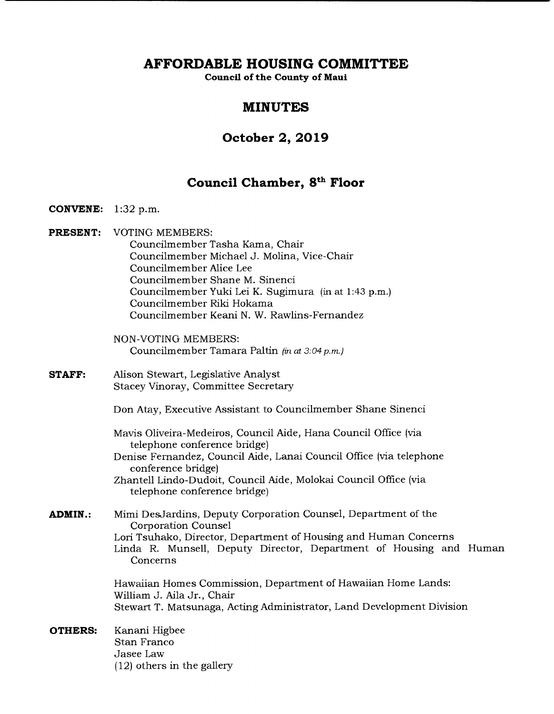**AFFORDABLE HOUSING COMMITTEE** 

**Council of the County of Maui** 

# **MINUTES**

# **October 2, 2019**

# **Council Chamber, 8" Floor**

# **CONVENE:** 1:32 p.m.

- **PRESENT:** VOTING MEMBERS: Councilmember Tasha Kama, Chair Councilmember Michael J. Molina, Vice-Chair Councilmember Alice Lee Councilmember Shane M. Sinenci Councilmember Yuki Lei K. Sugimura (in at 1:43 p.m.) Councilmember Riki Hokama Councilmember Keani N. W. Rawlins-Fernandez
	- NON-VOTING MEMBERS: Councilmember Tamara Paltin (in at 3:04 p.m.)
- **STAFF:** Alison Stewart, Legislative Analyst Stacey Vinoray, Committee Secretary
	- Don Atay, Executive Assistant to Councilmember Shane Sinenci
	- Mavis Oliveira-Medeiros, Council Aide, Hana Council Office (via telephone conference bridge)
	- Denise Fernandez, Council Aide, Lanai Council Office (via telephone conference bridge)
	- Zhantell Lindo-Dudoit, Council Aide, Molokai Council Office (via telephone conference bridge)
- **ADMIN.:** Mimi DesJardins, Deputy Corporation Counsel, Department of the Corporation Counsel Lori Tsuhako, Director, Department of Housing and Human Concerns Linda R. Munsell, Deputy Director, Department of Housing and Human Concerns

Hawaiian Homes Commission, Department of Hawaiian Home Lands: William J. Aila Jr., Chair Stewart T. Matsunaga, Acting Administrator, Land Development Division

**OTHERS:** Kanani Higbee Stan Franco Jasee Law (12) others in the gallery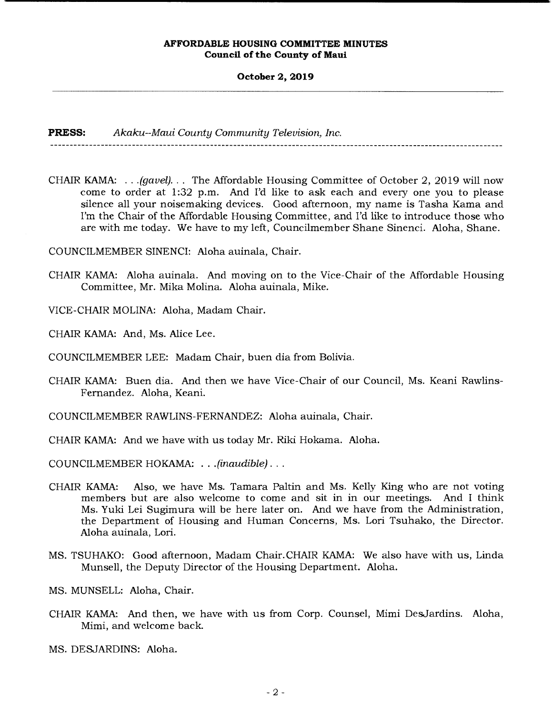**October 2, 2019** 

**PRESS:** *Akaku--Maui County Community Television, Inc.* 

CHAIR KAMA: . . *.(gavel). . .* The Affordable Housing Committee of October 2, 2019 will now come to order at 1:32 p.m. And I'd like to ask each and every one you to please silence all your noisemaking devices. Good afternoon, my name is Tasha Kama and I'm the Chair of the Affordable Housing Committee, and I'd like to introduce those who are with me today. We have to my left, Councilmember Shane Sinenci. Aloha, Shane.

COUNCILMEMBER SINENCI: Aloha auinala, Chair.

- CHAIR KAMA: Aloha auinala. And moving on to the Vice-Chair of the Affordable Housing Committee, Mr. Mika Molina. Aloha auinala, Mike.
- VICE-CHAIR MOLINA: Aloha, Madam Chair.
- CHAIR KAMA: And, Ms. Alice Lee.
- COUNCILMEMBER LEE: Madam Chair, buen dia from Bolivia.
- CHAIR KAMA: Buen dia. And then we have Vice-Chair of our Council, Ms. Keani Rawlins-Fernandez. Aloha, Keani.
- COUNCILMEMBER RAWLINS-FERNANDEZ: Aloha auinala, Chair.
- CHAIR KAMA: And we have with us today Mr. Riki Hokama. Aloha.
- COUNCILMEMBER HOKAMA: . . . *(inaudible)...*
- CHAIR KAMA: Also, we have Ms. Tamara Paltin and Ms. Kelly King who are not voting members but are also welcome to come and sit in in our meetings. And I think Ms. Yuki Lei Sugimura will be here later on. And we have from the Administration, the Department of Housing and Human Concerns, Ms. Lori Tsuhako, the Director. Aloha auinala, Lori.
- MS. TSUHAKO: Good afternoon, Madam Chair.CHAIR KAMA: We also have with us, Linda Munsell, the Deputy Director of the Housing Department. Aloha.
- MS. MUNSELL: Aloha, Chair.
- CHAIR KAMA: And then, we have with us from Corp. Counsel, Mimi DesJardins. Aloha, Mimi, and welcome back.
- MS. DESJARDINS: Aloha.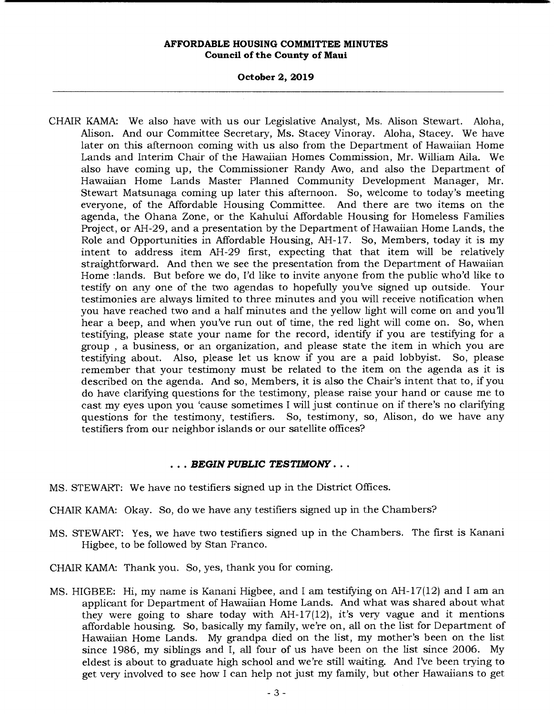**October 2, 2019** 

CHAIR KAMA: We also have with us our Legislative Analyst, Ms. Alison Stewart. Aloha, Alison. And our Committee Secretary, Ms. Stacey Vinoray. Aloha, Stacey. We have later on this afternoon coming with us also from the Department of Hawaiian Home Lands and Interim Chair of the Hawaiian Homes Commission, Mr. William Aila. We also have coming up, the Commissioner Randy Awo, and also the Department of Hawaiian Home Lands Master Planned Community Development Manager, Mr. Stewart Matsunaga coming up later this afternoon. So, welcome to today's meeting everyone, of the Affordable Housing Committee. And there are two items on the agenda, the Ohana Zone, or the Kahului Affordable Housing for Homeless Families Project, or AH-29, and a presentation by the Department of Hawaiian Home Lands, the Role and Opportunities in Affordable Housing, AH-17. So, Members, today it is my intent to address item AH-29 first, expecting that that item will be relatively straightforward. And then we see the presentation from the Department of Hawaiian Home :lands. But before we do, I'd like to invite anyone from the public who'd like to testify on any one of the two agendas to hopefully you've signed up outside. Your testimonies are always limited to three minutes and you will receive notification when you have reached two and a half minutes and the yellow light will come on and you'll hear a beep, and when you've run out of time, the red light will come on. So, when testifying, please state your name for the record, identify if you are testifying for a group , a business, or an organization, and please state the item in which you are testifying about. Also, please let us know if you are a paid lobbyist. So, please remember that your testimony must be related to the item on the agenda as it is described on the agenda. And so, Members, it is also the Chair's intent that to, if you do have clarifying questions for the testimony, please raise your hand or cause me to cast my eyes upon you 'cause sometimes I will just continue on if there's no clarifying questions for the testimony, testifiers. So, testimony, so, Alison, do we have any testifiers from our neighbor islands or our satellite offices?

# *• BEGIN PUBLIC TESTIMONY...*

- MS. STEWART: We have no testifiers signed up in the District Offices.
- CHAIR KAMA: Okay. So, do we have any testifiers signed up in the Chambers?
- MS. STEWART: Yes, we have two testifiers signed up in the Chambers. The first is Kanani Higbee, to be followed by Stan Franco.
- CHAIR KAMA: Thank you. So, yes, thank you for coming.
- MS. HIGBEE: Hi, my name is Kanani Higbee, and I am testifying on AH-17(12) and I am an applicant for Department of Hawaiian Home Lands. And what was shared about what they were going to share today with AH-17(12), it's very vague and it mentions affordable housing. So, basically my family, we're on, all on the list for Department of Hawaiian Home Lands. My grandpa died on the list, my mother's been on the list since 1986, my siblings and I, all four of us have been on the list since 2006. My eldest is about to graduate high school and we're still waiting. And I've been trying to get very involved to see how I can help not just my family, but other Hawaiians to get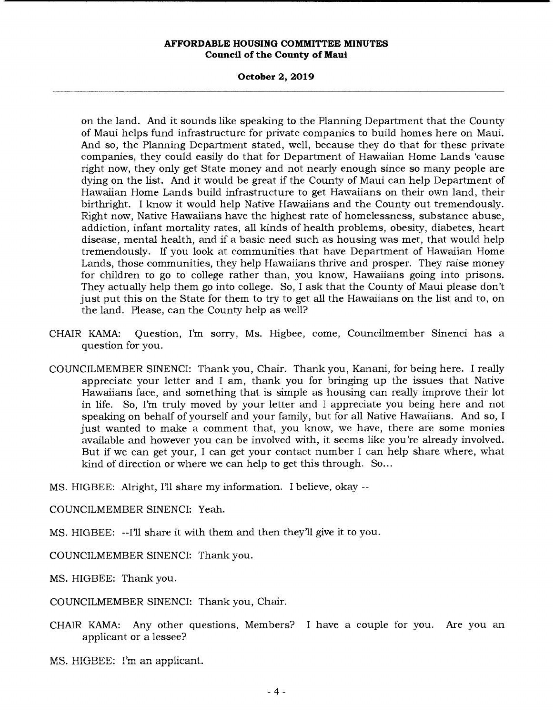### **October 2, 2019**

on the land. And it sounds like speaking to the Planning Department that the County of Maui helps fund infrastructure for private companies to build homes here on Maui. And so, the Planning Department stated, well, because they do that for these private companies, they could easily do that for Department of Hawaiian Home Lands 'cause right now, they only get State money and not nearly enough since so many people are dying on the list. And it would be great if the County of Maui can help Department of Hawaiian Home Lands build infrastructure to get Hawaiians on their own land, their birthright. I know it would help Native Hawaiians and the County out tremendously. Right now, Native Hawaiians have the highest rate of homelessness, substance abuse, addiction, infant mortality rates, all kinds of health problems, obesity, diabetes, heart disease, mental health, and if a basic need such as housing was met, that would help tremendously. If you look at communities that have Department of Hawaiian Home Lands, those communities, they help Hawaiians thrive and prosper. They raise money for children to go to college rather than, you know, Hawaiians going into prisons. They actually help them go into college. So, I ask that the County of Maui please don't just put this on the State for them to try to get all the Hawaiians on the list and to, on the land. Please, can the County help as well?

- CHAIR KAMA: Question, I'm sorry, Ms. Higbee, come, Councilmember Sinenci has a question for you.
- COUNCILMEMBER SINENCI: Thank you, Chair. Thank you, Kanani, for being here. I really appreciate your letter and I am, thank you for bringing up the issues that Native Hawaiians face, and something that is simple as housing can really improve their lot in life. So, I'm truly moved by your letter and I appreciate you being here and not speaking on behalf of yourself and your family, but for all Native Hawaiians. And so, I just wanted to make a comment that, you know, we have, there are some monies available and however you can be involved with, it seems like you're already involved. But if we can get your, I can get your contact number I can help share where, what kind of direction or where we can help to get this through. So...
- MS. HIGBEE: Alright, I'll share my information. I believe, okay

COUNCILMEMBER SINENCI: Yeah.

MS. HIGBEE: --I'll share it with them and then they'll give it to you.

COUNCILMEMBER SINENCI: Thank you.

MS. HIGBEE: Thank you.

COUNCILMEMBER SINENCI: Thank you, Chair.

CHAIR KAMA: Any other questions, Members? I have a couple for you. Are you an applicant or a lessee?

**I.a.**<br>MS. HIGBEE: I'm an applicant.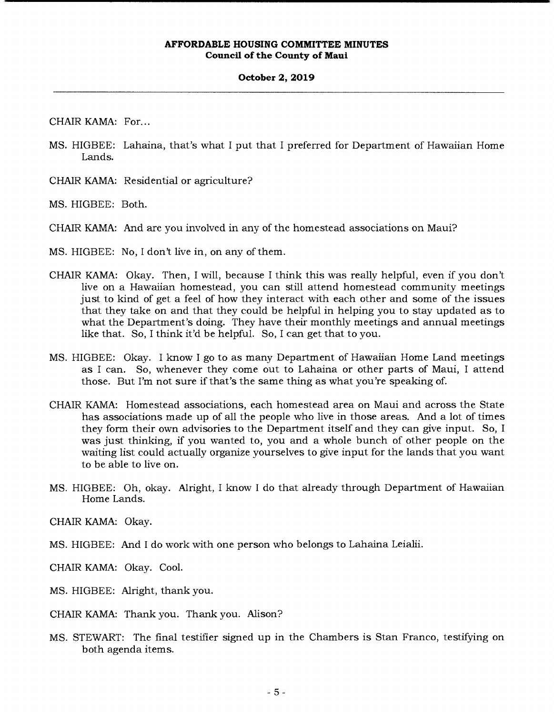### **October 2, 2019**

CHAIR KAMA: For...

- MS. HIGBEE: Lahaina, that's what I put that I preferred for Department of Hawaiian Home Lands.
- CHAIR KAMA: Residential or agriculture?

MS. HIGBEE: Both.

- CHAIR KAMA: And are you involved in any of the homestead associations on Maui?
- MS. HIGBEE: No, I don't live in, on any of them.
- CHAIR KAMA: Okay. Then, I will, because I think this was really helpful, even if you don't live on a Hawaiian homestead, you can still attend homestead community meetings just to kind of get a feel of how they interact with each other and some of the issues that they take on and that they could be helpful in helping you to stay updated as to what the Department's doing. They have their monthly meetings and annual meetings like that. So, I think it'd be helpful. So, I can get that to you.
- MS. HIGBEE: Okay. I know I go to as many Department of Hawaiian Home Land meetings as I can. So, whenever they come out to Lahaina or other parts of Maui, I attend those. But I'm not sure if that's the same thing as what you're speaking of.
- CHAIR KAMA: Homestead associations, each homestead area on Maui and across the State has associations made up of all the people who live in those areas. And a lot of times they form their own advisories to the Department itself and they can give input. So, I was just thinking, if you wanted to, you and a whole bunch of other people on the waiting list could actually organize yourselves to give input for the lands that you want to be able to live on.
- MS. HIGBEE: Oh, okay. Alright, I know I do that already through Department of Hawaiian Home Lands.

CHAIR KAMA: Okay.

MS. HIGBEE: And I do work with one person who belongs to Lahaina Leialii.

CHAIR KAMA: Okay. Cool.

MS. HIGBEE: Alright, thank you.

CHAIR KAMA: Thank you. Thank you. Alison?

MS. STEWART: The final testifier signed up in the Chambers is Stan Franco, testifying on both agenda items.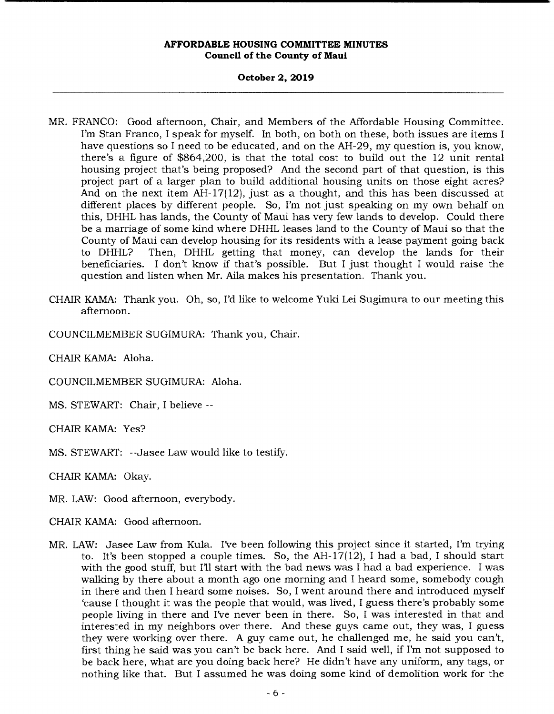# **October 2, 2019**

- MR. FRANCO: Good afternoon, Chair, and Members of the Affordable Housing Committee. I'm Stan Franco, I speak for myself. In both, on both on these, both issues are items I have questions so I need to be educated, and on the AH-29, my question is, you know, there's a figure of \$864,200, is that the total cost to build out the 12 unit rental housing project that's being proposed? And the second part of that question, is this project part of a larger plan to build additional housing units on those eight acres? And on the next item AH-17(12), just as a thought, and this has been discussed at different places by different people. So, I'm not just speaking on my own behalf on this, DHHL has lands, the County of Maui has very few lands to develop. Could there be a marriage of some kind where DHHL leases land to the County of Maui so that the County of Maui can develop housing for its residents with a lease payment going back to DHHL? Then, DHHL getting that money, can develop the lands for their beneficiaries. I don't know if that's possible. But I just thought I would raise the question and listen when Mr. Aila makes his presentation. Thank you.
- CHAIR KAMA: Thank you. Oh, so, I'd like to welcome Yuki Lei Sugimura to our meeting this afternoon.

COUNCILMEMBER SUGIMURA: Thank you, Chair.

CHAIR KAMA: Aloha.

COUNCILMEMBER SUGIMURA: Aloha.

MS. STEWART: Chair, I believe --

CHAIR KAMA: Yes?

MS. STEWART: --Jasee Law would like to testify.

CHAIR KAMA: Okay.

MR. LAW: Good afternoon, everybody.

CHAIR KAMA: Good afternoon.

MR. LAW: Jasee Law from Kula. I've been following this project since it started, I'm trying to. It's been stopped a couple times. So, the AH-17(12), I had a bad, I should start with the good stuff, but I'll start with the bad news was I had a bad experience. I was walking by there about a month ago one morning and I heard some, somebody cough in there and then I heard some noises. So, I went around there and introduced myself 'cause I thought it was the people that would, was lived, I guess there's probably some people living in there and I've never been in there. So, I was interested in that and interested in my neighbors over there. And these guys came out, they was, I guess they were working over there. A guy came out, he challenged me, he said you can't, first thing he said was you can't be back here. And I said well, if I'm not supposed to be back here, what are you doing back here? He didn't have any uniform, any tags, or nothing like that. But I assumed he was doing some kind of demolition work for the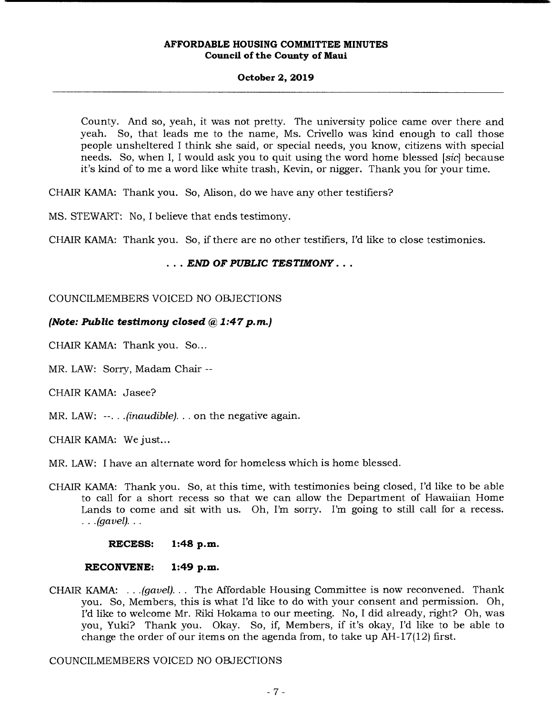# **October 2, 2019**

County. And so, yeah, it was not pretty. The university police came over there and yeah. So, that leads me to the name, Ms. Crivello was kind enough to call those people unsheltered I think she said, or special needs, you know, citizens with special needs. So, when I, I would ask you to quit using the word home blessed *[sic]* because it's kind of to me a word like white trash, Kevin, or nigger. Thank you for your time.

CHAIR KAMA: Thank you. So, Alison, do we have any other testifiers?

MS. STEWART: No, I believe that ends testimony.

CHAIR KAMA: Thank you. So, if there are no other testifiers, I'd like to close testimonies.

# *• END OF PUBLIC TESTIMONY...*

# COUNCILMEMBERS VOICED NO OBJECTIONS

# *(Note: Public testimony closed g, 1:47p.m.)*

CHAIR KAMA: Thank you. So...

MR. LAW: Sorry, Madam Chair --

CHAIR KAMA: Jasee?

MR. LAW:  $\cdots$ . *(inaudible)...* on the negative again.

CHAIR KAMA: We just...

MR. LAW: I have an alternate word for homeless which is home blessed.

CHAIR KAMA: Thank you. So, at this time, with testimonies being closed, I'd like to be able to call for a short recess so that we can allow the Department of Hawaiian Home Lands to come and sit with us. Oh, I'm sorry. I'm going to still call for a recess. *(gavel).* 

**RECESS: 1:48 p.m.** 

# **RECONVENE: 1:49 p.m.**

CHAIR KAMA: . . . *(gavel)...* The Affordable Housing Committee is now reconvened. Thank you. So, Members, this is what I'd like to do with your consent and permission. Oh, I'd like to welcome Mr. Riki Hokama to our meeting. No, I did already, right? Oh, was you, Yuki? Thank you. Okay. So, if, Members, if it's okay, I'd like to be able to change the order of our items on the agenda from, to take up AH- 17(12) first.

COUNCILMEMBERS VOICED NO OBJECTIONS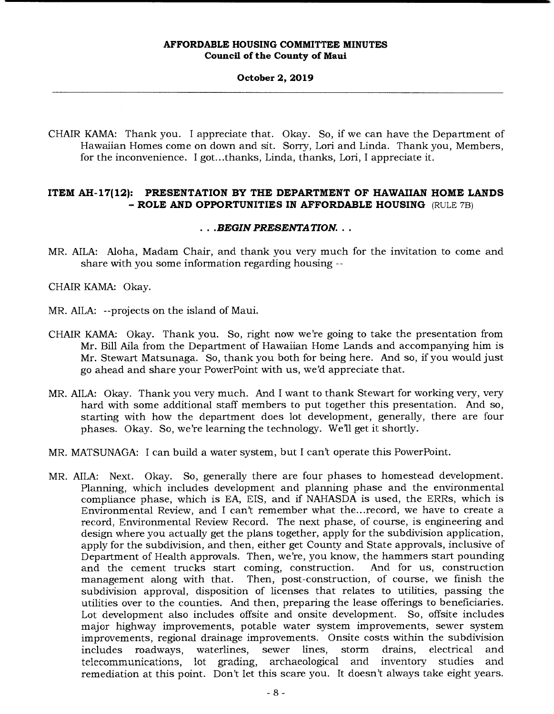### **October 2, 2019**

CHAIR KAMA: Thank you. I appreciate that. Okay. So, if we can have the Department of Hawaiian Homes come on down and sit. Sorry, Lori and Linda. Thank you, Members, for the inconvenience. I got.. .thanks, Linda, thanks, Lori, I appreciate it.

# **ITEM AH-17(12): PRESENTATION BY THE DEPARTMENT OF HAWAIIAN HOME LANDS**  - **ROLE AND OPPORTUNITIES IN AFFORDABLE HOUSING** (RULE 7B)

# *.BEGIN PRESENTATION...*

MR. AILA: Aloha, Madam Chair, and thank you very much for the invitation to come and share with you some information regarding housing --

CHAIR KAMA: Okay.

- MR. AILA: --projects on the island of Maui.
- CHAIR KAMA: Okay. Thank you. So, right now we're going to take the presentation from Mr. Bill Aila from the Department of Hawaiian Home Lands and accompanying him is Mr. Stewart Matsunaga. So, thank you both for being here. And so, if you would just go ahead and share your PowerPoint with us, we'd appreciate that.
- MR. AILA: Okay. Thank you very much. And I want to thank Stewart for working very, very hard with some additional staff members to put together this presentation. And so, starting with how the department does lot development, generally, there are four phases. Okay. So, we're learning the technology. Well get it shortly.
- MR. MATSUNAGA: I can build a water system, but I can't operate this PowerPoint.
- MR. AILA: Next. Okay. So, generally there are four phases to homestead development. Planning, which includes development and planning phase and the environmental compliance phase, which is EA, EIS, and if NAHASDA is used, the ERRs, which is Environmental Review, and I can't remember what the.. .record, we have to create a record, Environmental Review Record. The next phase, of course, is engineering and design where you actually get the plans together, apply for the subdivision application, apply for the subdivision, and then, either get County and State approvals, inclusive of Department of Health approvals. Then, we're, you know, the hammers start pounding and the cement trucks start coming, construction. And for us, construction management along with that. Then, post-construction, of course, we finish the subdivision approval, disposition of licenses that relates to utilities, passing the utilities over to the counties. And then, preparing the lease offerings to beneficiaries. Lot development also includes offsite and onsite development. So, offsite includes major highway improvements, potable water system improvements, sewer system improvements, regional drainage improvements. Onsite costs within the subdivision includes roadways, waterlines, sewer lines, storm drains, electrical and archaeological and inventory studies and remediation at this point. Don't let this scare you. It doesn't always take eight years.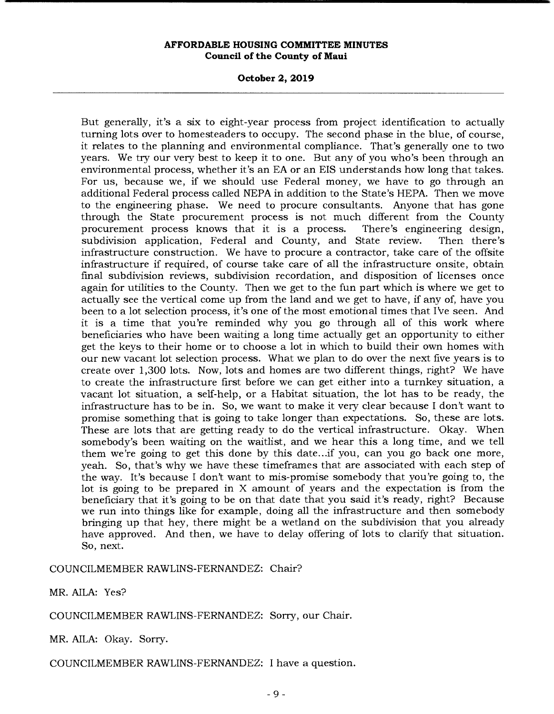**October 2, 2019** 

But generally, it's a six to eight-year process from project identification to actually turning lots over to homesteaders to occupy. The second phase in the blue, of course, it relates to the planning and environmental compliance. That's generally one to two years. We try our very best to keep it to one. But any of you who's been through an environmental process, whether it's an EA or an EIS understands how long that takes. For us, because we, if we should use Federal money, we have to go through an additional Federal process called NEPA in addition to the State's HEPA. Then we move to the engineering phase. We need to procure consultants. Anyone that has gone through the State procurement process is not much different from the County procurement process knows that it is a process. There's engineering design, subdivision application, Federal and County, and State review. Then there's infrastructure construction. We have to procure a contractor, take care of the offsite infrastructure if required, of course take care of all the infrastructure onsite, obtain final subdivision reviews, subdivision recordation, and disposition of licenses once again for utilities to the County. Then we get to the fun part which is where we get to actually see the vertical come up from the land and we get to have, if any of, have you been to a lot selection process, it's one of the most emotional times that I've seen. And it is a time that you're reminded why you go through all of this work where beneficiaries who have been waiting a long time actually get an opportunity to either get the keys to their home or to choose a lot in which to build their own homes with our new vacant lot selection process. What we plan to do over the next five years is to create over 1,300 lots. Now, lots and homes are two different things, right? We have to create the infrastructure first before we can get either into a turnkey situation, a vacant lot situation, a self-help, or a Habitat situation, the lot has to be ready, the infrastructure has to be in. So, we want to make it very clear because I don't want to promise something that is going to take longer than expectations. So, these are lots. These are lots that are getting ready to do the vertical infrastructure. Okay. When somebody's been waiting on the waitlist, and we hear this a long time, and we tell them we're going to get this done by this date.. .if you, can you go back one more, yeah. So, that's why we have these timeframes that are associated with each step of the way. It's because I don't want to mis-promise somebody that you're going to, the lot is going to be prepared in X amount of years and the expectation is from the beneficiary that it's going to be on that date that you said it's ready, right? Because we run into things like for example, doing all the infrastructure and then somebody bringing up that hey, there might be a wetland on the subdivision that you already have approved. And then, we have to delay offering of lots to clarify that situation. So, next.

COUNCILMEMBER RAWLINS-FERNANDEZ: Chair?

MR. AILA: Yes?

COUNCILMEMBER RAWLINS-FERNANDEZ: Sorry, our Chair.

MR. AILA: Okay. Sorry.

COUNCILMEMBER RAWLINS-FERNANDEZ: I have a question.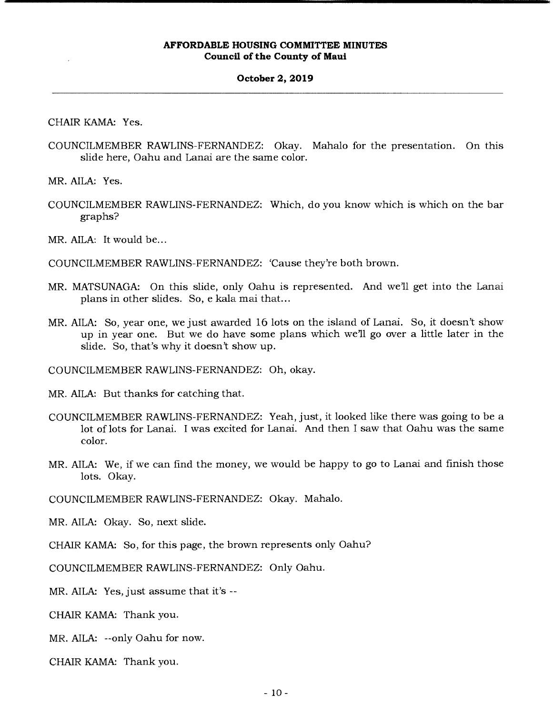#### **October 2, 2019**

CHAIR KAMA: Yes.

COUNCILMEMBER RAWLINS-FERNANDEZ: Okay. Mahalo for the presentation. On this slide here, Oahu and Lanai are the same color.

MR. AILA: Yes.

COUNCILMEMBER RAWLINS-FERNANDEZ: Which, do you know which is which on the bar graphs?

MR. AILA: It would be...

COUNCILMEMBER RAWLINS-FERNANDEZ: 'Cause they're both brown.

- MR. MATSUNAGA: On this slide, only Oahu is represented. And well get into the Lanai plans in other slides. So, e kala mai that...
- MR. AILA: So, year one, we just awarded 16 lots on the island of Lanai. So, it doesn't show up in year one. But we do have some plans which we'll go over a little later in the slide. So, that's why it doesn't show up.

COUNCILMEMBER RAWLINS-FERNANDEZ: Oh, okay.

MR. AILA: But thanks for catching that.

- COUNCILMEMBER RAWLINS-FERNANDEZ: Yeah, just, it looked like there was going to be a lot of lots for Lanai. I was excited for Lanai. And then I saw that Oahu was the same color.
- MR. AILA: We, if we can find the money, we would be happy to go to Lanai and finish those lots. Okay.

COUNCILMEMBER RAWLINS-FERNANDEZ: Okay. Mahalo.

MR. AILA: Okay. So, next slide.

CHAIR KAMA: So, for this page, the brown represents only Oahu?

COUNCILMEMBER RAWLINS-FERNANDEZ: Only Oahu.

MR. AILA: Yes, just assume that it's --

CHAIR KAMA: Thank you.

MR. AILA: --only Oahu for now.

CHAIR KAMA: Thank you.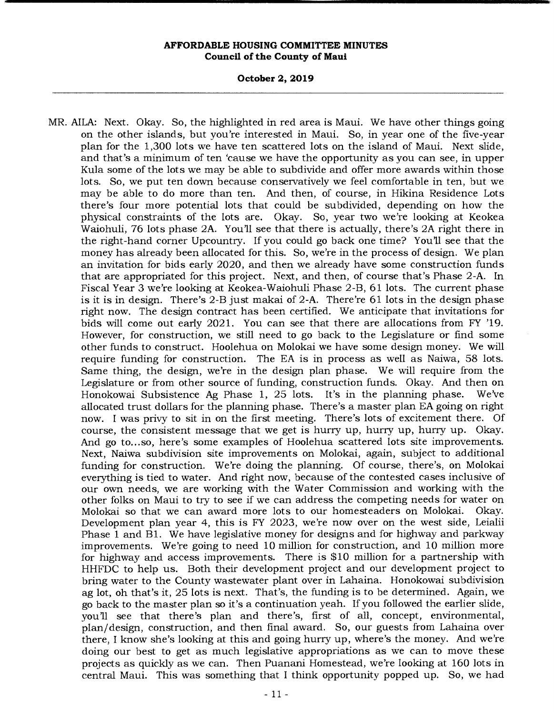**October 2, 2019** 

MR. AILA: Next. Okay. So, the highlighted in red area is Maui. We have other things going on the other islands, but you're interested in Maui. So, in year one of the five-year plan for the 1,300 lots we have ten scattered lots on the island of Maui. Next slide, and that's a minimum of ten 'cause we have the opportunity as you can see, in upper Kula some of the lots we may be able to subdivide and offer more awards within those lots. So, we put ten down because conservatively we feel comfortable in ten, but we may be able to do more than ten. And then, of course, in Hikina Residence Lots there's four more potential lots that could be subdivided, depending on how the physical constraints of the lots are. Okay. So, year two we're looking at Keokea Waiohuli, 76 lots phase 2A. You'll see that there is actually, there's 2A right there in the right-hand corner Upcountry. If you could go back one time? You'll see that the money has already been allocated for this. So, we're in the process of design. We plan an invitation for bids early 2020, and then we already have some construction funds that are appropriated for this project. Next, and then, of course that's Phase 2-A. In Fiscal Year 3 we're looking at Keokea-Waiohuli Phase 2-B, 61 lots. The current phase is it is in design. There's 2-B just makai of 2-A. There're 61 lots in the design phase right now. The design contract has been certified. We anticipate that invitations for bids will come out early 2021. You can see that there are allocations from FY '19. However, for construction, we still need to go back to the Legislature or find some other funds to construct. Hoolehua on Molokai we have some design money. We will require funding for construction. The EA is in process as well as Naiwa, 58 lots. Same thing, the design, we're in the design plan phase. We will require from the Legislature or from other source of funding, construction funds. Okay. And then on Honokowai Subsistence Ag Phase 1, 25 lots. It's in the planning phase. We've allocated trust dollars for the planning phase. There's a master plan EA going on right now. I was privy to sit in on the first meeting. There's lots of excitement there. Of course, the consistent message that we get is hurry up, hurry up, hurry up. Okay. And go to.. .so, here's some examples of Hoolehua scattered lots site improvements. Next, Naiwa subdivision site improvements on Molokai, again, subject to additional funding for construction. We're doing the planning. Of course, there's, on Molokai everything is tied to water. And right now, because of the contested cases inclusive of our own needs, we are working with the Water Commission and working with the other folks on Maui to try to see if we can address the competing needs for water on Molokai so that we can award more lots to our homesteaders on Molokai. Okay. Development plan year 4, this is FY 2023, we're now over on the west side, Leialii Phase 1 and B1. We have legislative money for designs and for highway and parkway improvements. We're going to need 10 million for construction, and 10 million more for highway and access improvements. There is \$10 million for a partnership with HHFDC to help us. Both their development project and our development project to bring water to the County wastewater plant over in Lahaina. Honokowai subdivision ag lot, oh that's it, 25 lots is next. That's, the funding is to be determined. Again, we go back to the master plan so it's a continuation yeah. If you followed the earlier slide, you'll see that there's plan and there's, first of all, concept, environmental, plan/design, construction, and then final award. So, our guests from Lahaina over there, I know she's looking at this and going hurry up, where's the money. And we're doing our best to get as much legislative appropriations as we can to move these projects as quickly as we can. Then Puanani Homestead, we're looking at 160 lots in central Maui. This was something that I think opportunity popped up. So, we had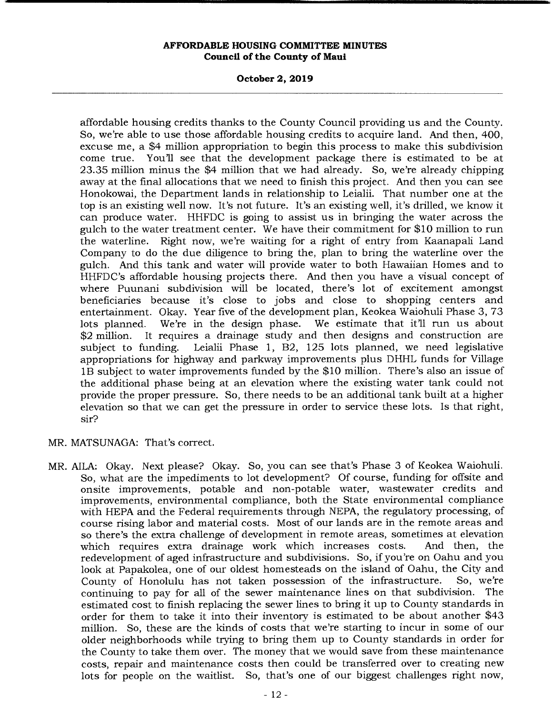**October 2, 2019** 

affordable housing credits thanks to the County Council providing us and the County. So, we're able to use those affordable housing credits to acquire land. And then, 400, excuse me, a \$4 million appropriation to begin this process to make this subdivision come true. You'll see that the development package there is estimated to be at 23.35 million minus the \$4 million that we had already. So, we're already chipping away at the final allocations that we need to finish this project. And then you can see Honokowai, the Department lands in relationship to Leialii. That number one at the top is an existing well now. It's not future. It's an existing well, it's drilled, we know it can produce water. HHFDC is going to assist us in bringing the water across the gulch to the water treatment center. We have their commitment for \$10 million to run the waterline. Right now, we're waiting for a right of entry from Kaanapali Land Company to do the due diligence to bring the, plan to bring the waterline over the gulch. And this tank and water will provide water to both Hawaiian Homes and to HHFDC's affordable housing projects there. And then you have a visual concept of where Puunani subdivision will be located, there's lot of excitement amongst beneficiaries because it's close to jobs and close to shopping centers and entertainment. Okay. Year five of the development plan, Keokea Waiohuli Phase 3, 73 lots planned. We're in the design phase. We estimate that it'll run us about \$2 million. It requires a drainage study and then designs and construction are subject to funding. Leialii Phase 1, B2, 125 lots planned, we need legislative appropriations for highway and parkway improvements plus DHHL funds for Village lB subject to water improvements funded by the \$10 million. There's also an issue of the additional phase being at an elevation where the existing water tank could not provide the proper pressure. So, there needs to be an additional tank built at a higher elevation so that we can get the pressure in order to service these lots. Is that right, sir?

- MR. MATSUNAGA: That's correct.
- MR. AILA: Okay. Next please? Okay. So, you can see that's Phase 3 of Keokea Waiohuli. So, what are the impediments to lot development? Of course, funding for offsite and onsite improvements, potable and non-potable water, wastewater credits and improvements, environmental compliance, both the State environmental compliance with HEPA and the Federal requirements through NEPA, the regulatory processing, of course rising labor and material costs. Most of our lands are in the remote areas and so there's the extra challenge of development in remote areas, sometimes at elevation which requires extra drainage work which increases costs. And then, the redevelopment of aged infrastructure and subdivisions. So, if you're on Oahu and you look at Papakolea, one of our oldest homesteads on the island of Oahu, the City and<br>County of Honolulu has not taken possession of the infrastructure. So, we're County of Honolulu has not taken possession of the infrastructure. continuing to pay for all of the sewer maintenance lines on that subdivision. The estimated cost to finish replacing the sewer lines to bring it up to County standards in order for them to take it into their inventory is estimated to be about another \$43 million. So, these are the kinds of costs that we're starting to incur in some of our older neighborhoods while trying to bring them up to County standards in order for the County to take them over. The money that we would save from these maintenance costs, repair and maintenance costs then could be transferred over to creating new lots for people on the waitlist. So, that's one of our biggest challenges right now,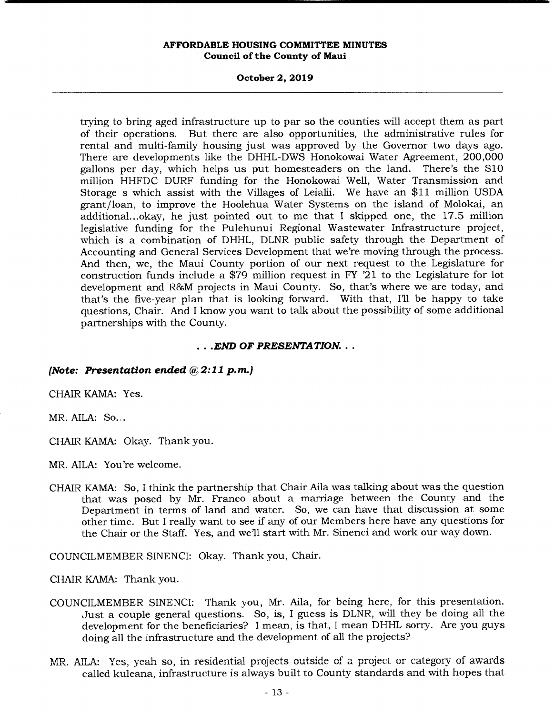### **October 2, 2019**

trying to bring aged infrastructure up to par so the counties will accept them as part of their operations. But there are also opportunities, the administrative rules for rental and multi-family housing just was approved by the Governor two days ago. There are developments like the DHHL-DWS Honokowai Water Agreement, 200,000 gallons per day, which helps us put homesteaders on the land. There's the \$10 million HHFDC DURF funding for the Honokowai Well, Water Transmission and Storage s which assist with the Villages of Leialii. We have an \$11 million USDA grant/loan, to improve the Hoolehua Water Systems on the island of Molokai, an additional.. .okay, he just pointed out to me that I skipped one, the 17.5 million legislative funding for the Pulehunui Regional Wastewater Infrastructure project, which is a combination of DHHL, DLNR public safety through the Department of Accounting and General Services Development that we're moving through the process. And then, we, the Maui County portion of our next request to the Legislature for construction funds include a \$79 million request in FY '21 to the Legislature for lot development and R&M projects in Maui County. So, that's where we are today, and that's the five-year plan that is looking forward. With that, I'll be happy to take questions, Chair. And I know you want to talk about the possibility of some additional partnerships with the County.

### *END OF PRESENTATION...*

### *(Note: Presentation ended @2:11 p.m.)*

CHAIR KAMA: Yes.

MR. AILA: So...

CHAIR KAMA: Okay. Thank you.

MR. AILA: You're welcome.

CHAIR KAMA: So, I think the partnership that Chair Aila was talking about was the question that was posed by Mr. Franco about a marriage between the County and the Department in terms of land and water. So, we can have that discussion at some other time. But I really want to see if any of our Members here have any questions for the Chair or the Staff. Yes, and well start with Mr. Sinenci and work our way down.

COUNCILMEMBER SINENCI: Okay. Thank you, Chair.

CHAIR KAMA: Thank you.

- COUNCILMEMBER SINENCI: Thank you, Mr. Aila, for being here, for this presentation. Just a couple general questions. So, is, I guess is DLNR, will they be doing all the development for the beneficiaries? I mean, is that, I mean DHHL sorry. Are you guys doing all the infrastructure and the development of all the projects?
- MR. AILA: Yes, yeah so, in residential projects outside of a project or category of awards called kuleana, infrastructure is always built to County standards and with hopes that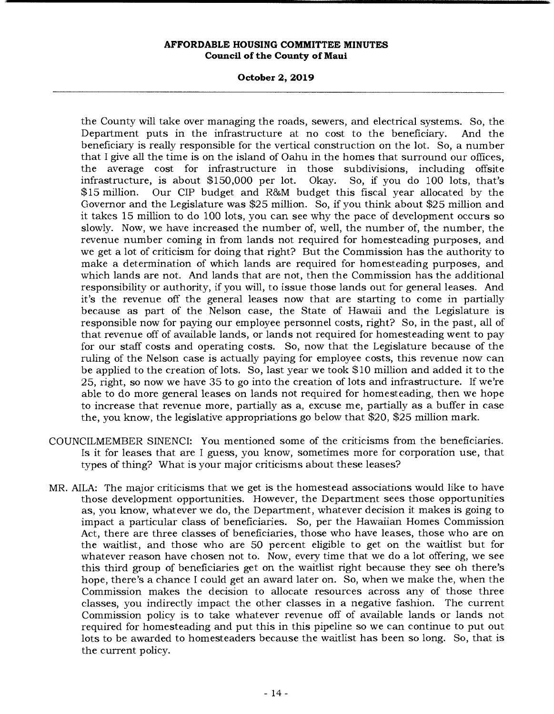**October 2, 2019** 

the County will take over managing the roads, sewers, and electrical systems. So, the Department puts in the infrastructure at no cost to the beneficiary. And the beneficiary is really responsible for the vertical construction on the lot. So, a number that I give all the time is on the island of Oahu in the homes that surround our offices, the average cost for infrastructure in those subdivisions, including offsite<br>infrastructure, is about \$150,000 per lot. Okay. So, if you do 100 lots, that's infrastructure, is about  $$150,000$  per lot. \$15 million. Our CIP budget and R&M budget this fiscal year allocated by the Governor and the Legislature was \$25 million. So, if you think about \$25 million and it takes 15 million to do 100 lots, you can see why the pace of development occurs so slowly. Now, we have increased the number of, well, the number of, the number, the revenue number coming in from lands not required for homesteading purposes, and we get a lot of criticism for doing that right? But the Commission has the authority to make a determination of which lands are required for homesteading purposes, and which lands are not. And lands that are not, then the Commission has the additional responsibility or authority, if you will, to issue those lands out for general leases. And it's the revenue off the general leases now that are starting to come in partially because as part of the Nelson case, the State of Hawaii and the Legislature is responsible now for paying our employee personnel costs, right? So, in the past, all of that revenue off of available lands, or lands not required for homesteading went to pay for our staff costs and operating costs. So, now that the Legislature because of the ruling of the Nelson case is actually paying for employee costs, this revenue now can be applied to the creation of lots. So, last year we took \$10 million and added it to the 25, right, so now we have 35 to go into the creation of lots and infrastructure. If we're able to do more general leases on lands not required for homesteading, then we hope to increase that revenue more, partially as a, excuse me, partially as a buffer in case the, you know, the legislative appropriations go below that \$20, \$25 million mark.

- COUNCILMEMBER SINENCI: You mentioned some of the criticisms from the beneficiaries. Is it for leases that are I guess, you know, sometimes more for corporation use, that types of thing? What is your major criticisms about these leases?
- MR. AILA: The major criticisms that we get is the homestead associations would like to have those development opportunities. However, the Department sees those opportunities as, you know, whatever we do, the Department, whatever decision it makes is going to impact a particular class of beneficiaries. So, per the Hawaiian Homes Commission Act, there are three classes of beneficiaries, those who have leases, those who are on the waitlist, and those who are 50 percent eligible to get on the waitlist but for whatever reason have chosen not to. Now, every time that we do a lot offering, we see this third group of beneficiaries get on the waitlist right because they see oh there's hope, there's a chance I could get an award later on. So, when we make the, when the Commission makes the decision to allocate resources across any of those three classes, you indirectly impact the other classes in a negative fashion. The current Commission policy is to take whatever revenue off of available lands or lands not required for homesteading and put this in this pipeline so we can continue to put out lots to be awarded to homesteaders because the waitlist has been so long. So, that is the current policy.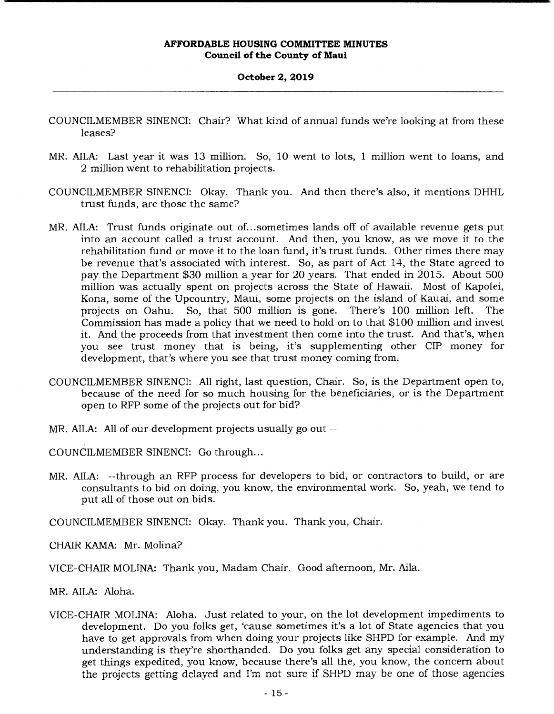# **October 2, 2019**

- COUNCILMEMBER SINENCI: Chair? What kind of annual funds we're looking at from these leases?
- MR. AILA: Last year it was 13 million. So, 10 went to lots, 1 million went to loans, and 2 million went to rehabilitation projects.
- COUNCILMEMBER SINENCI: Okay. Thank you. And then there's also, it mentions DHHL trust funds, are those the same?
- MR. AILA: Trust funds originate out of.. .sometimes lands off of available revenue gets put into an account called a trust account. And then, you know, as we move it to the rehabilitation fund or move it to the loan fund, it's trust funds. Other times there may be revenue that's associated with interest. So, as part of Act 14, the State agreed to pay the Department \$30 million a year for 20 years. That ended in 2015. About 500 million was actually spent on projects across the State of Hawaii. Most of Kapolei, Kona, some of the Upcountry, Maui, some projects on the island of Kauai, and some projects on Oahu. So, that 500 million is gone. There's 100 million left. The Commission has made a policy that we need to hold on to that \$100 million and invest it. And the proceeds from that investment then come into the trust. And that's, when you see trust money that is being, it's supplementing other CIP money for development, that's where you see that trust money coming from.
- COUNCILMEMBER SINENCI: All right, last question, Chair. So, is the Department open to, because of the need for so much housing for the beneficiaries, or is the Department open to RFP some of the projects out for bid?
- MR. AILA: All of our development projects usually go out --

COUNCILMEMBER SINENCI: Go through...

MR. AILA: --through an RFP process for developers to bid, or contractors to build, or are consultants to bid on doing, you know, the environmental work. So, yeah, we tend to put all of those out on bids.

COUNCILMEMBER SINENCI: Okay. Thank you. Thank you, Chair.

CHAIR KAMA: Mr. Molina?

VICE-CHAIR MOLINA: Thank you, Madam Chair. Good afternoon, Mr. Aila.

MR. AILA: Aloha.

VICE-CHAIR MOLINA: Aloha. Just related to your, on the lot development impediments to development. Do you folks get, 'cause sometimes it's a lot of State agencies that you have to get approvals from when doing your projects like SHPD for example. And my understanding is they're shorthanded. Do you folks get any special consideration to get things expedited, you know, because there's all the, you know, the concern about the projects getting delayed and I'm not sure if SHPD may be one of those agencies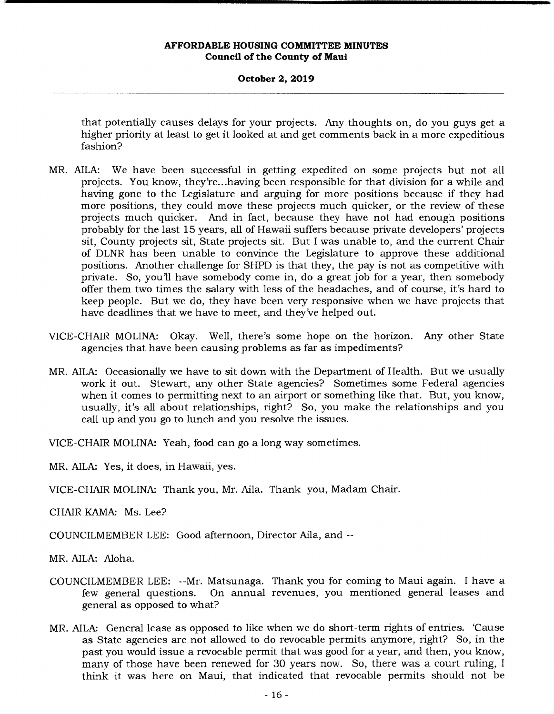### **October 2, 2019**

that potentially causes delays for your projects. Any thoughts on, do you guys get a higher priority at least to get it looked at and get comments back in a more expeditious fashion?

- MR. AILA: We have been successful in getting expedited on some projects but not all projects. You know, they're... having been responsible for that division for a while and having gone to the Legislature and arguing for more positions because if they had more positions, they could move these projects much quicker, or the review of these projects much quicker. And in fact, because they have not had enough positions probably for the last 15 years, all of Hawaii suffers because private developers' projects sit, County projects sit, State projects sit. But I was unable to, and the current Chair of DLNR has been unable to convince the Legislature to approve these additional positions. Another challenge for SHPD is that they, the pay is not as competitive with private. So, youll have somebody come in, do a great job for a year, then somebody offer them two times the salary with less of the headaches, and of course, it's hard to keep people. But we do, they have been very responsive when we have projects that have deadlines that we have to meet, and they've helped out.
- VICE-CHAIR MOLINA: Okay. Well, there's some hope on the horizon. Any other State agencies that have been causing problems as far as impediments?
- MR. AILA: Occasionally we have to sit down with the Department of Health. But we usually work it out. Stewart, any other State agencies? Sometimes some Federal agencies when it comes to permitting next to an airport or something like that. But, you know, usually, it's all about relationships, right? So, you make the relationships and you call up and you go to lunch and you resolve the issues.

VICE-CHAIR MOLINA: Yeah, food can go a long way sometimes.

MR. AILA: Yes, it does, in Hawaii, yes.

VICE-CHAIR MOLINA: Thank you, Mr. Aila. Thank you, Madam Chair.

CHAIR KAMA: Ms. Lee?

COUNCILMEMBER LEE: Good afternoon, Director Aila, and --

MR. AILA: Aloha.

- COUNCILMEMBER LEE: --Mr. Matsunaga. Thank you for coming to Maui again. I have a few general questions. On annual revenues, you mentioned general leases and general as opposed to what?
- MR. AILA: General lease as opposed to like when we do short-term rights of entries. 'Cause as State agencies are not allowed to do revocable permits anymore, right? So, in the past you would issue a revocable permit that was good for a year, and then, you know, many of those have been renewed for 30 years now. So, there was a court ruling, I think it was here on Maui, that indicated that revocable permits should not be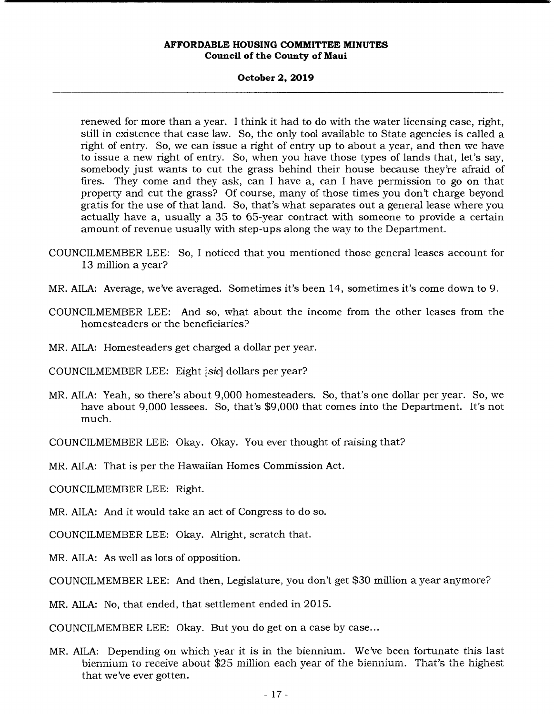# **October 2, 2019**

renewed for more than a year. I think it had to do with the water licensing case, right, still in existence that case law. So, the only tool available to State agencies is called a right of entry. So, we can issue a right of entry up to about a year, and then we have to issue a new right of entry. So, when you have those types of lands that, let's say, somebody just wants to cut the grass behind their house because they're afraid of fires. They come and they ask, can I have a, can I have permission to go on that property and cut the grass? Of course, many of those times you don't charge beyond gratis for the use of that land. So, that's what separates out a general lease where you actually have a, usually a 35 to 65-year contract with someone to provide a certain amount of revenue usually with step-ups along the way to the Department.

- COUNCILMEMBER LEE: So, I noticed that you mentioned those general leases account for 13 million a year?
- MR. AILA: Average, we've averaged. Sometimes it's been 14, sometimes it's come down to 9.
- COUNCILMEMBER LEE: And so, what about the income from the other leases from the homesteaders or the beneficiaries?
- MR. AILA: Homesteaders get charged a dollar per year.

COUNCILMEMBER LEE: Eight *[sic]* dollars per year?

MR. AILA: Yeah, so there's about 9,000 homesteaders. So, that's one dollar per year. So, we have about 9,000 lessees. So, that's \$9,000 that comes into the Department. It's not much.

COUNCILMEMBER LEE: Okay. Okay. You ever thought of raising that?

MR. AILA: That is per the Hawaiian Homes Commission Act.

COUNCILMEMBER LEE: Right.

MR. AILA: And it would take an act of Congress to do so.

COUNCILMEMBER LEE: Okay. Alright, scratch that.

MR. AILA: As well as lots of opposition.

COUNCILMEMBER LEE: And then, Legislature, you don't get \$30 million a year anymore?

MR. AILA: No, that ended, that settlement ended in 2015.

COUNCILMEMBER LEE: Okay. But you do get on a case by case...

MR. AILA: Depending on which year it is in the biennium. We've been fortunate this last biennium to receive about \$25 million each year of the biennium. That's the highest that we've ever gotten.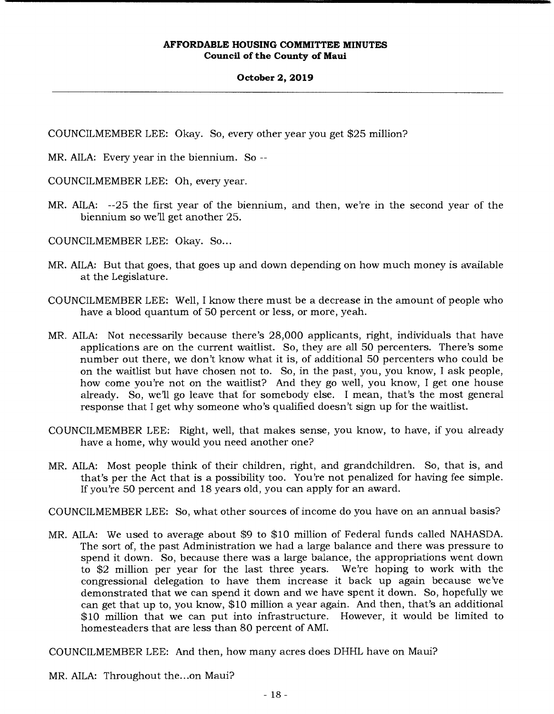### **October 2, 2019**

COUNCILMEMBER LEE: Okay. So, every other year you get \$25 million?

MR. AILA: Every year in the biennium. So --

COUNCILMEMBER LEE: Oh, every year.

MR. AILA: --25 the first year of the biennium, and then, we're in the second year of the biennium so we'll get another 25.

COUNCILMEMBER LEE: Okay. So...

- MR. AILA: But that goes, that goes up and down depending on how much money is available at the Legislature.
- COUNCILMEMBER LEE: Well, I know there must be a decrease in the amount of people who have a blood quantum of 50 percent or less, or more, yeah.
- MR. AILA: Not necessarily because there's 28,000 applicants, right, individuals that have applications are on the current waitlist. So, they are all 50 percenters. There's some number out there, we don't know what it is, of additional 50 percenters who could be on the waitlist but have chosen not to. So, in the past, you, you know, I ask people, how come you're not on the waitlist? And they go well, you know, I get one house already. So, we'll go leave that for somebody else. I mean, that's the most general response that I get why someone who's qualified doesn't sign up for the waitlist.
- COUNCILMEMBER LEE: Right, well, that makes sense, you know, to have, if you already have a home, why would you need another one?
- MR. AILA: Most people think of their children, right, and grandchildren. So, that is, and that's per the Act that is a possibility too. You're not penalized for having fee simple. If you're 50 percent and 18 years old, you can apply for an award.

COUNCILMEMBER LEE: So, what other sources of income do you have on an annual basis?

MR. AILA: We used to average about \$9 to \$10 million of Federal funds called NAHASDA. The sort of, the past Administration we had a large balance and there was pressure to spend it down. So, because there was a large balance, the appropriations went down to \$2 million per year for the last three years. We're hoping to work with the congressional delegation to have them increase it back up again because we've demonstrated that we can spend it down and we have spent it down. So, hopefully we can get that up to, you know, \$10 million a year again. And then, that's an additional \$10 million that we can put into infrastructure. However, it would be limited to homesteaders that are less than 80 percent of AMI.

COUNCILMEMBER LEE: And then, how many acres does DHHL have on Maui?

MR. AILA: Throughout the...on Maui?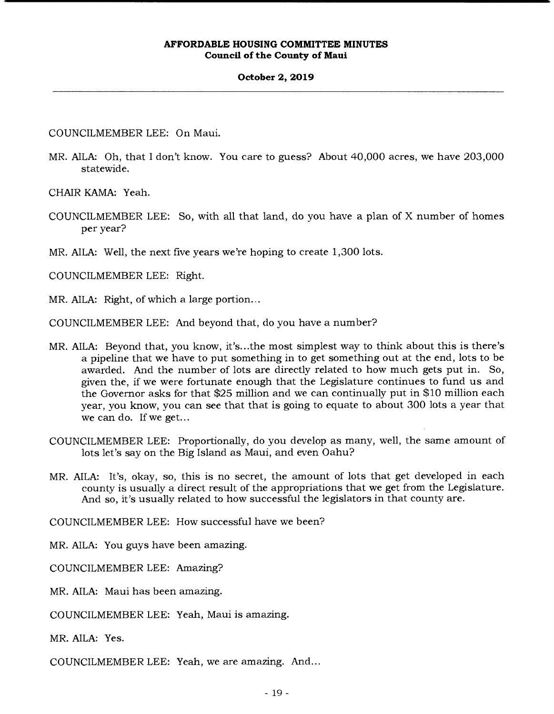### **October 2, 2019**

COUNCILMEMBER LEE: On Maui.

MR. AILA: Oh, that I don't know. You care to guess? About 40,000 acres, we have 203,000 statewide.

CHAIR KAMA: Yeah.

COUNCILMEMBER LEE: So, with all that land, do you have a plan of X number of homes per year?

MR. AILA: Well, the next five years we're hoping to create 1,300 lots.

COUNCILMEMBER LEE: Right.

MR. AILA: Right, of which a large portion...

COUNCILMEMBER LEE: And beyond that, do you have a number?

- MR. AILA: Beyond that, you know, it's.. .the most simplest way to think about this is there's a pipeline that we have to put something in to get something out at the end, lots to be awarded. And the number of lots are directly related to how much gets put in. So, given the, if we were fortunate enough that the Legislature continues to fund us and the Governor asks for that \$25 million and we can continually put in \$10 million each year, you know, you can see that that is going to equate to about 300 lots a year that we can do. If we get...
- COUNCILMEMBER LEE: Proportionally, do you develop as many, well, the same amount of lots let's say on the Big Island as Maui, and even Oahu?
- MR. AILA: It's, okay, so, this is no secret, the amount of lots that get developed in each county is usually a direct result of the appropriations that we get from the Legislature. And so, it's usually related to how successful the legislators in that county are.

COUNCILMEMBER LEE: How successful have we been?

MR. AILA: You guys have been amazing.

COUNCILMEMBER LEE: Amazing?

MR. AILA: Maui has been amazing.

COUNCILMEMBER LEE: Yeah, Maui is amazing.

MR. AILA: Yes.

COUNCILMEMBER LEE: Yeah, we are amazing. And...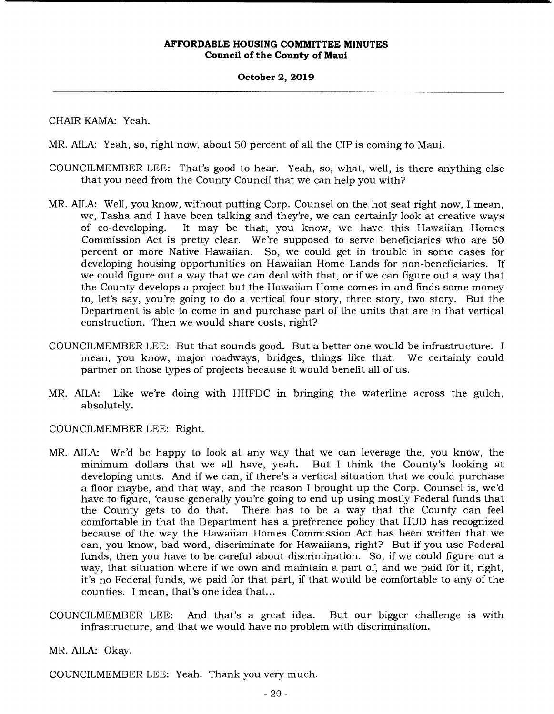# **October 2, 2019**

CHAIR KAMA: Yeah.

MR. AILA: Yeah, so, right now, about 50 percent of all the CIP is coming to Maui.

- COUNCILMEMBER LEE: That's good to hear. Yeah, so, what, well, is there anything else that you need from the County Council that we can help you with?
- MR. AILA: Well, you know, without putting Corp. Counsel on the hot seat right now, I mean, we, Tasha and I have been talking and they're, we can certainly look at creative ways of co-developing. It may be that, you know, we have this Hawaiian Homes Commission Act is pretty clear. We're supposed to serve beneficiaries who are 50 percent or more Native Hawaiian. So, we could get in trouble in some cases for developing housing opportunities on Hawaiian Home Lands for non-beneficiaries. If we could figure out a way that we can deal with that, or if we can figure out a way that the County develops a project but the Hawaiian Home comes in and finds some money to, let's say, you're going to do a vertical four story, three story, two story. But the Department is able to come in and purchase part of the units that are in that vertical construction. Then we would share costs, right?
- COUNCILMEMBER LEE: But that sounds good. But a better one would be infrastructure. I mean, you know, major roadways, bridges, things like that. We certainly could partner on those types of projects because it would benefit all of us.
- MR. AILA: Like we're doing with HHFDC in bringing the waterline across the gulch, absolutely.

COUNCILMEMBER LEE: Right.

- MR. AILA: We'd be happy to look at any way that we can leverage the, you know, the minimum dollars that we all have, yeah. But I think the County's looking at developing units. And if we can, if there's a vertical situation that we could purchase a floor maybe, and that way, and the reason I brought up the Corp. Counsel is, we'd have to figure, 'cause generally you're going to end up using mostly Federal funds that the County gets to do that. There has to be a way that the County can feel comfortable in that the Department has a preference policy that HUD has recognized because of the way the Hawaiian Homes Commission Act has been written that we can, you know, bad word, discriminate for Hawaiians, right? But if you use Federal funds, then you have to be careful about discrimination. So, if we could figure out a way, that situation where if we own and maintain a part of, and we paid for it, right, it's no Federal funds, we paid for that part, if that would be comfortable to any of the counties. I mean, that's one idea that...
- COUNCILMEMBER LEE: And that's a great idea. But our bigger challenge is with infrastructure, and that we would have no problem with discrimination.

MR. AILA: Okay.

COUNCILMEMBER LEE: Yeah. Thank you very much.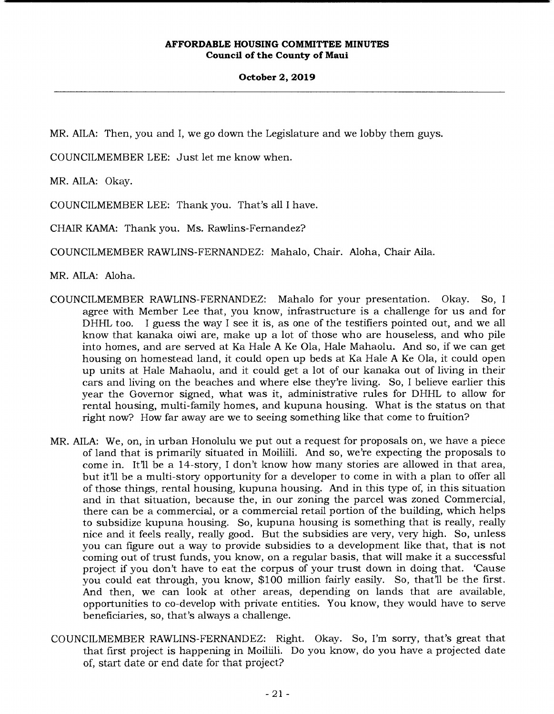**October 2, 2019** 

MR. AILA: Then, you and I, we go down the Legislature and we lobby them guys.

COUNCILMEMBER LEE: Just let me know when.

MR. AILA: Okay.

COUNCILMEMBER LEE: Thank you. That's all I have.

CHAIR KAMA: Thank you. Ms. Rawlins-Fernandez?

COUNCILMEMBER RAWLINS-FERNANDEZ: Mahalo, Chair. Aloha, Chair Aila.

 $MR. AllA: Abba.$ 

- COUNCILMEMBER RAWLINS-FERNANDEZ: Mahalo for your presentation. Okay. So, I agree with Member Lee that, you know, infrastructure is a challenge for us and for DHHL too. I guess the way I see it is, as one of the testifiers pointed out, and we all know that kanaka oiwi are, make up a lot of those who are houseless, and who pile into homes, and are served at Ka Hale A Ke Ola, Hale Mahaolu. And so, if we can get housing on homestead land, it could open up beds at Ka Hale A Ke Ola, it could open up units at Hale Mahaolu, and it could get a lot of our kanaka out of living in their cars and living on the beaches and where else they're living. So, I believe earlier this year the Governor signed, what was it, administrative rules for DHHL to allow for rental housing, multi-family homes, and kupuna housing. What is the status on that right now? How far away are we to seeing something like that come to fruition?
- MR. AILA: We, on, in urban Honolulu we put out a request for proposals on, we have a piece of land that is primarily situated in Moiliii. And so, we're expecting the proposals to come in. It'll be a 14-story, I don't know how many stories are allowed in that area, but it'll be a multi-story opportunity for a developer to come in with a plan to offer all of those things, rental housing, kupuna housing. And in this type of, in this situation and in that situation, because the, in our zoning the parcel was zoned Commercial, there can be a commercial, or a commercial retail portion of the building, which helps to subsidize kupuna housing. So, kupuna housing is something that is really, really nice and it feels really, really good. But the subsidies are very, very high. So, unless you can figure out a way to provide subsidies to a development like that, that is not coming out of trust funds, you know, on a regular basis, that will make it a successful project if you don't have to eat the corpus of your trust down in doing that. 'Cause you could eat through, you know, \$100 million fairly easily. So, that'll be the first. And then, we can look at other areas, depending on lands that are available, opportunities to co-develop with private entities. You know, they would have to serve beneficiaries, so, that's always a challenge.
- COUNCILMEMBER RAWLINS-FERNANDEZ: Right. Okay. So, I'm sorry, that's great that that first project is happening in Moiliili. Do you know, do you have a projected date of, start date or end date for that project?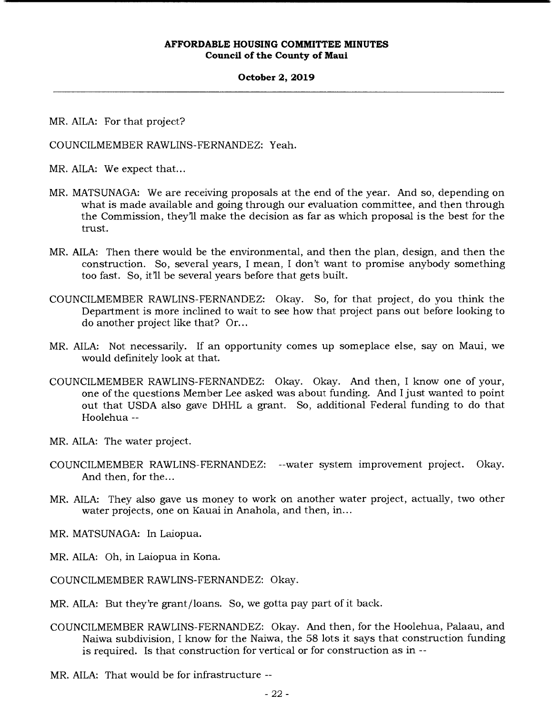### **October 2, 2019**

MR. AILA: For that project?

COUNCILMEMBER RAWLINS-FERNANDEZ: Yeah.

MR. AILA: We expect that...

- MR. MATSUNAGA: We are receiving proposals at the end of the year. And so, depending on what is made available and going through our evaluation committee, and then through the Commission, they'll make the decision as far as which proposal is the best for the trust.
- MR. AILA: Then there would be the environmental, and then the plan, design, and then the construction. So, several years, I mean, I don't want to promise anybody something too fast. So, it'll be several years before that gets built.
- COUNCILMEMBER RAWLINS-FERNANDEZ: Okay. So, for that project, do you think the Department is more inclined to wait to see how that project pans out before looking to do another project like that? Or...
- MR. AILA: Not necessarily. If an opportunity comes up someplace else, say on Maui, we would definitely look at that.
- COUNCILMEMBER RAWLINS-FERNANDEZ: Okay. Okay. And then, I know one of your, one of the questions Member Lee asked was about funding. And I just wanted to point out that USDA also gave DHHL a grant. So, additional Federal funding to do that Hoolehua --
- MR. AILA: The water project.
- COUNCILMEMBER RAWLINS-FERNANDEZ: --water system improvement project. Okay. And then, for the...
- MR. AILA: They also gave us money to work on another water project, actually, two other water projects, one on Kauai in Anahola, and then, in...
- MR. MATSUNAGA: In Laiopua.
- MR. AILA: Oh, in Laiopua in Kona.

COUNCILMEMBER RAWLINS-FERNANDEZ: Okay.

- MR. AILA: But they're grant/loans. So, we gotta pay part of it back.
- COUNCILMEMBER RAWLINS-FERNANDEZ: Okay. And then, for the Hoolehua, Palaau, and Naiwa subdivision, I know for the Naiwa, the 58 lots it says that construction funding is required. Is that construction for vertical or for construction as in --

MR. AILA: That would be for infrastructure --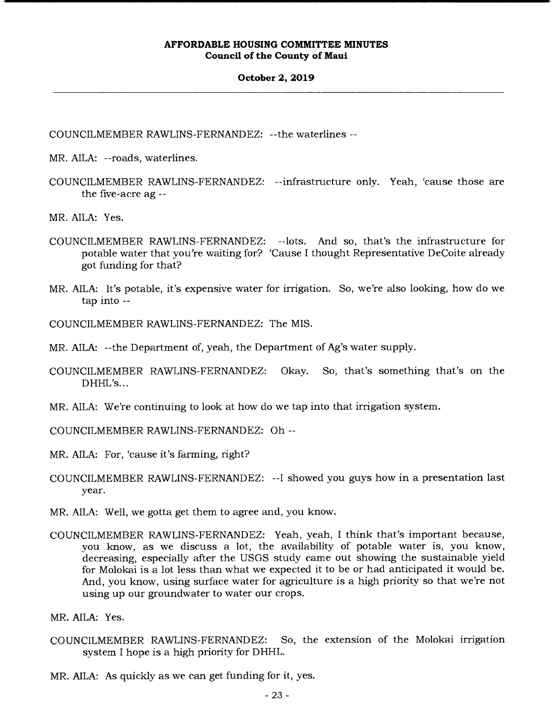#### **October 2, 2019**

COUNCILMEMBER RAWLINS-FERNANDEZ: --the waterlines --

MR. AILA: --roads, waterlines.

COUNCILMEMBER RAWLINS-FERNANDEZ: --infrastructure only. Yeah, 'cause those are the five-acre ag --

MR. AILA: Yes.

- COUNCILMEMBER RAWLINS-FERNANDEZ: --lots. And so, that's the infrastructure for potable water that you're waiting for? 'Cause I thought Representative DeCoite already got funding for that?
- MR. AILA: It's potable, it's expensive water for irrigation. So, we're also looking, how do we tap into --

COUNCILMEMBER RAWLINS-FERNANDEZ: The MIS.

MR. AILA: --the Department of, yeah, the Department of Ag's water supply.

- COUNCILMEMBER RAWLINS-FERNANDEZ: Okay. So, that's something that's on the DHHL's...
- MR. AILA: We're continuing to look at how do we tap into that irrigation system.

COUNCILMEMBER RAWLINS-FERNANDEZ: Oh --

MR. AILA: For, 'cause it's farming, right?

COUNCILMEMBER RAWLINS-FERNANDEZ: --I showed you guys how in a presentation last year.

MR. AILA: Well, we gotta get them to agree and, you know.

COUNCILMEMBER RAWLINS-FERNANDEZ: Yeah, yeah, I think that's important because, you know, as we discuss a lot, the availability of potable water is, you know, decreasing, especially after the USGS study came out showing the sustainable yield for Molokai is a lot less than what we expected it to be or had anticipated it would be. And, you know, using surface water for agriculture is a high priority so that we're not using up our groundwater to water our crops.

MR. AILA: Yes.

COUNCILMEMBER RAWLINS-FERNANDEZ: So, the extension of the Molokai irrigation system I hope is a high priority for DHHL.

MR. AILA: As quickly as we can get funding for it, yes.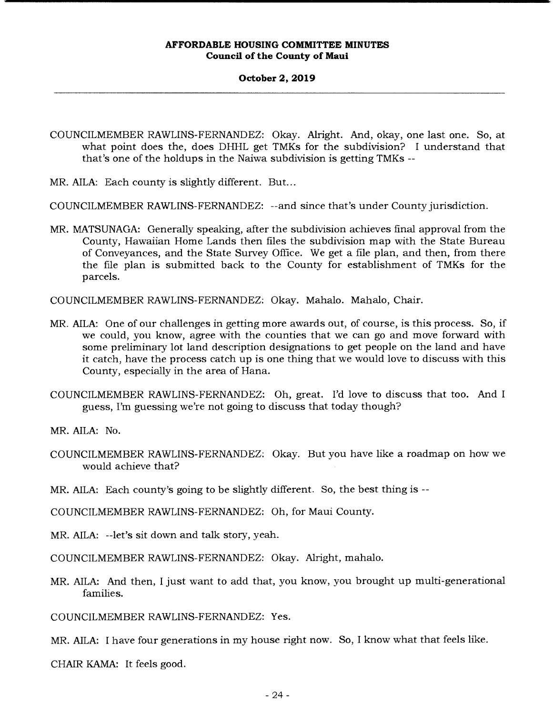#### **October 2, 2019**

COUNCILMEMBER RAWLINS-FERNANDEZ: Okay. Alright. And, okay, one last one. So, at what point does the, does DHHL get TMKs for the subdivision? I understand that that's one of the holdups in the Naiwa subdivision is getting TMKs --

MR. AILA: Each county is slightly different. But...

COUNCILMEMBER RAWLINS-FERNANDEZ: --and since that's under County jurisdiction.

MR. MATSUNAGA: Generally speaking, after the subdivision achieves final approval from the County, Hawaiian Home Lands then files the subdivision map with the State Bureau of Conveyances, and the State Survey Office. We get a file plan, and then, from there the file plan is submitted back to the County for establishment of TMKs for the parcels.

COUNCILMEMBER RAWLINS-FERNANDEZ: Okay. Mahalo. Mahalo, Chair.

- MR. AILA: One of our challenges in getting more awards out, of course, is this process. So, if we could, you know, agree with the counties that we can go and move forward with some preliminary lot land description designations to get people on the land and have it catch, have the process catch up is one thing that we would love to discuss with this County, especially in the area of Hana.
- COUNCILMEMBER RAWLINS-FERNANDEZ: Oh, great. I'd love to discuss that too. And I guess, I'm guessing we're not going to discuss that today though?

MR. AILA: No.

- COUNCILMEMBER RAWLINS-FERNANDEZ: Okay. But you have like a roadmap on how we would achieve that?
- MR. AILA: Each county's going to be slightly different. So, the best thing is --

COUNCILMEMBER RAWLINS-FERNANDEZ: Oh, for Maui County.

MR. AILA: --let's sit down and talk story, yeah.

COUNCILMEMBER RAWLINS-FERNANDEZ: Okay. Alright, mahalo.

MR. AILA: And then, I just want to add that, you know, you brought up multi-generational families.

COUNCILMEMBER RAWLINS-FERNANDEZ: Yes.

MR. AILA: I have four generations in my house right now. So, I know what that feels like.

CHAIR KAMA: It feels good.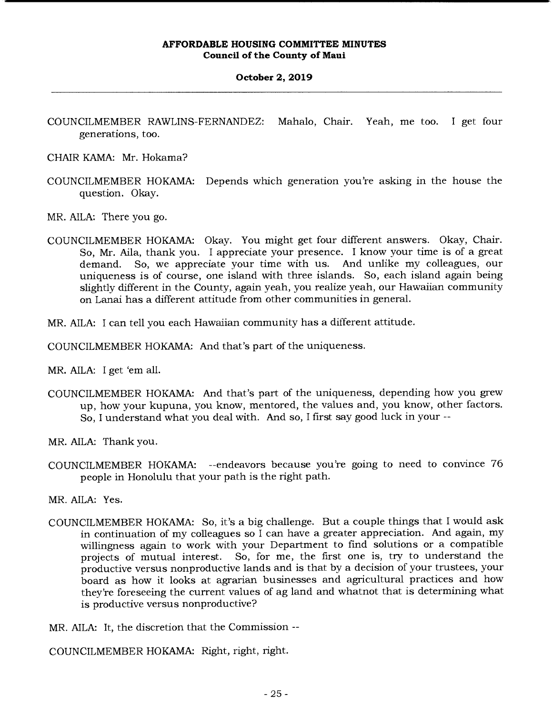# **October 2, 2019**

- COUNCILMEMBER RAWLINS-FERNANDEZ: Mahalo, Chair. Yeah, me too. I get four generations, too.
- CHAIR KAMA: Mr. Hokama?
- COUNCILMEMBER HOKAMA: Depends which generation you're asking in the house the question. Okay.
- MR. AILA: There you go.
- COUNCILMEMBER HOKAMA: Okay. You might get four different answers. Okay, Chair. So, Mr. Aila, thank you. I appreciate your presence. I know your time is of a great demand. So, we appreciate your time with us. And unlike my colleagues, our uniqueness is of course, one island with three islands. So, each island again being slightly different in the County, again yeah, you realize yeah, our Hawaiian community on Lanai has a different attitude from other communities in general.
- MR. AILA: I can tell you each Hawaiian community has a different attitude.
- COUNCILMEMBER HOKAMA: And that's part of the uniqueness.
- MR. AILA: I get 'em all.
- COUNCILMEMBER HOKAMA: And that's part of the uniqueness, depending how you grew up, how your kupuna, you know, mentored, the values and, you know, other factors. So, I understand what you deal with. And so, I first say good luck in your --
- MR. AILA: Thank you.
- COUNCILMEMBER HOKAMA: --endeavors because you're going to need to convince 76 people in Honolulu that your path is the right path.
- MR. AILA: Yes.
- COUNCILMEMBER HOKAMA: So, it's a big challenge. But a couple things that I would ask in continuation of my colleagues so I can have a greater appreciation. And again, my willingness again to work with your Department to find solutions or a compatible projects of mutual interest. So, for me, the first one is, try to understand the productive versus nonproductive lands and is that by a decision of your trustees, your board as how it looks at agrarian businesses and agricultural practices and how they're foreseeing the current values of ag land and whatnot that is determining what is productive versus nonproductive?
- MR. AILA: It, the discretion that the Commission --

COUNCILMEMBER HOKAMA: Right, right, right.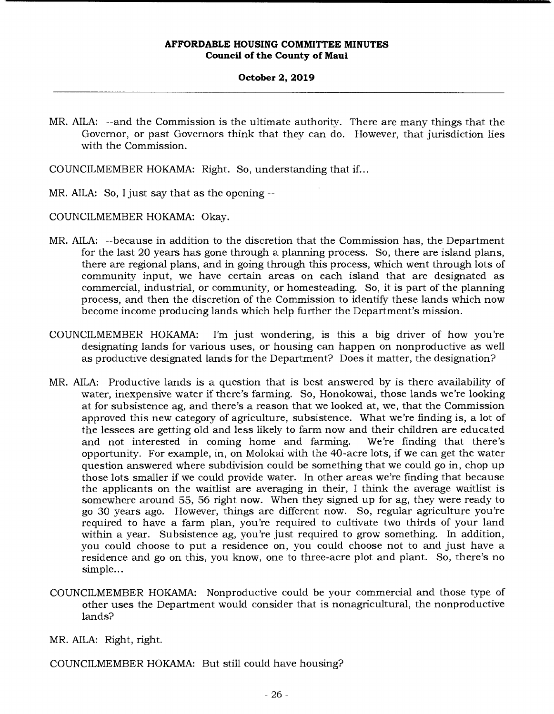### **October 2, 2019**

MR. AILA: --and the Commission is the ultimate authority. There are many things that the Governor, or past Governors think that they can do. However, that jurisdiction lies with the Commission.

COUNCILMEMBER HOKAMA: Right. So, understanding that if...

MR. AILA: So, I just say that as the opening --

COUNCILMEMBER HOKAMA: Okay.

- MR. AILA: --because in addition to the discretion that the Commission has, the Department for the last 20 years has gone through a planning process. So, there are island plans, there are regional plans, and in going through this process, which went through lots of community input, we have certain areas on each island that are designated as commercial, industrial, or community, or homesteading. So, it is part of the planning process, and then the discretion of the Commission to identify these lands which now become income producing lands which help further the Department's mission.
- COUNCILMEMBER HOKAMA: I'm just wondering, is this a big driver of how you're designating lands for various uses, or housing can happen on nonproductive as well as productive designated lands for the Department? Does it matter, the designation?
- MR. AILA: Productive lands is a question that is best answered by is there availability of water, inexpensive water if there's farming. So, Honokowai, those lands we're looking at for subsistence ag, and there's a reason that we looked at, we, that the Commission approved this new category of agriculture, subsistence. What we're finding is, a lot of the lessees are getting old and less likely to farm now and their children are educated and not interested in coming home and farming. We're finding that there's opportunity. For example, in, on Molokai with the 40-acre lots, if we can get the water question answered where subdivision could be something that we could go in, chop up those lots smaller if we could provide water. In other areas we're finding that because the applicants on the waitlist are averaging in their, I think the average waitlist is somewhere around 55, 56 right now. When they signed up for ag, they were ready to go 30 years ago. However, things are different now. So, regular agriculture you're required to have a farm plan, you're required to cultivate two thirds of your land within a year. Subsistence ag, you're just required to grow something. In addition, you could choose to put a residence on, you could choose not to and just have a residence and go on this, you know, one to three-acre plot and plant. So, there's no simple...
- COUNCILMEMBER HOKAMA: Nonproductive could be your commercial and those type of other uses the Department would consider that is nonagricultural, the nonproductive lands?
- MR. AILA: Right, right.

COUNCILMEMBER HOKAMA: But still could have housing?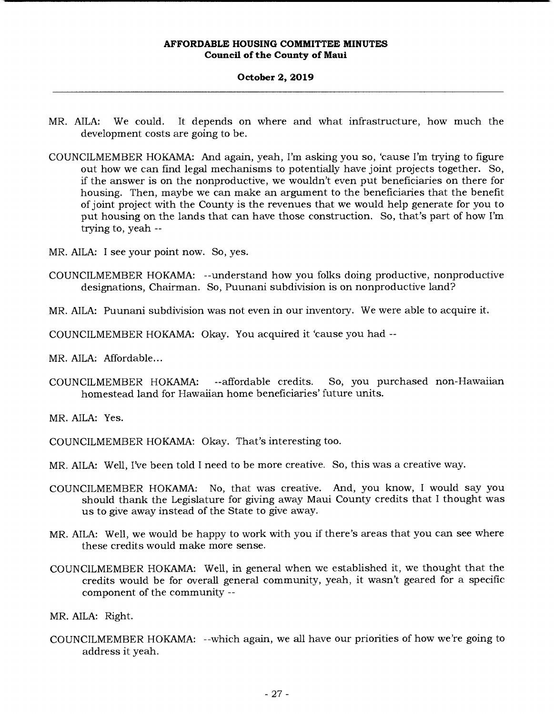# **October 2, 2019**

- MR. AILA: We could. It depends on where and what infrastructure, how much the development costs are going to be.
- COUNCILMEMBER HOKAMA: And again, yeah, I'm asking you so, 'cause I'm trying to figure out how we can find legal mechanisms to potentially have joint projects together. So, if the answer is on the nonproductive, we wouldn't even put beneficiaries on there for housing. Then, maybe we can make an argument to the beneficiaries that the benefit of joint project with the County is the revenues that we would help generate for you to put housing on the lands that can have those construction. So, that's part of how I'm trying to, yeah --
- MR. AILA: I see your point now. So, yes.
- COUNCILMEMBER HOKAMA: --understand how you folks doing productive, nonproductive designations, Chairman. So, Puunani subdivision is on nonproductive land?
- MR. AILA: Puunani subdivision was not even in our inventory. We were able to acquire it.

COUNCILMEMBER HOKAMA: Okay. You acquired it 'cause you had --

MR. AILA: Affordable...

COUNCILMEMBER HOKAMA: --affordable credits. So, you purchased non-Hawaiian homestead land for Hawaiian home beneficiaries' future units.

MR. AILA: Yes.

- COUNCILMEMBER HOKAMA: Okay. That's interesting too.
- MR. AILA: Well, I've been told I need to be more creative. So, this was a creative way.
- COUNCILMEMBER HOKAMA: No, that was creative. And, you know, I would say you should thank the Legislature for giving away Maui County credits that I thought was us to give away instead of the State to give away.
- MR. AILA: Well, we would be happy to work with you if there's areas that you can see where these credits would make more sense.
- COUNCILMEMBER HOKAMA: Well, in general when we established it, we thought that the credits would be for overall general community, yeah, it wasn't geared for a specific component of the community --

MR. AILA: Right.

COUNCILMEMBER HOKAMA: --which again, we all have our priorities of how we're going to address it yeah.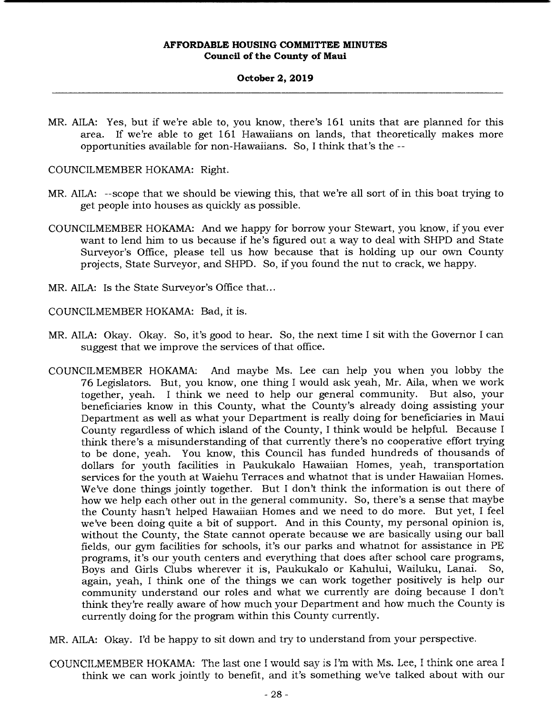### **October 2, 2019**

MR. AILA: Yes, but if we're able to, you know, there's 161 units that are planned for this area. If we're able to get 161 Hawaiians on lands, that theoretically makes more opportunities available for non-Hawaiians. So, I think that's the --

# COUNCILMEMBER HOKAMA: Right.

- MR. AILA: --scope that we should be viewing this, that we're all sort of in this boat trying to get people into houses as quickly as possible.
- COUNCILMEMBER HOKAMA: And we happy for borrow your Stewart, you know, if you ever want to lend him to us because if he's figured out a way to deal with SHPD and State Surveyor's Office, please tell us how because that is holding up our own County projects, State Surveyor, and SHPD. So, if you found the nut to crack, we happy.
- MR. AILA: Is the State Surveyor's Office that...

COUNCILMEMBER HOKAMA: Bad, it is.

- MR. AILA: Okay. Okay. So, it's good to hear. So, the next time I sit with the Governor I can suggest that we improve the services of that office.
- COUNCILMEMBER HOKAMA: And maybe Ms. Lee can help you when you lobby the 76 Legislators. But, you know, one thing I would ask yeah, Mr. Aila, when we work together, yeah. I think we need to help our general community. But also, your beneficiaries know in this County, what the County's already doing assisting your Department as well as what your Department is really doing for beneficiaries in Maui County regardless of which island of the County, I think would be helpful. Because I think there's a misunderstanding of that currently there's no cooperative effort trying to be done, yeah. You know, this Council has funded hundreds of thousands of dollars for youth facilities in Paukukalo Hawaiian Homes, yeah, transportation services for the youth at Waiehu Terraces and whatnot that is under Hawaiian Homes. We've done things jointly together. But I don't think the information is out there of how we help each other out in the general community. So, there's a sense that maybe the County hasn't helped Hawaiian Homes and we need to do more. But yet, I feel we've been doing quite a bit of support. And in this County, my personal opinion is, without the County, the State cannot operate because we are basically using our ball fields, our gym facilities for schools, it's our parks and whatnot for assistance in PE programs, it's our youth centers and everything that does after school care programs, Boys and Girls Clubs wherever it is, Paukukalo or Kahului, Wailuku, Lanai. So, again, yeah, I think one of the things we can work together positively is help our community understand our roles and what we currently are doing because I don't think they're really aware of how much your Department and how much the County is currently doing for the program within this County currently.
- MR. AILA: Okay. I'd be happy to sit down and try to understand from your perspective.
- COUNCILMEMBER HOKAMA: The last one I would say is I'm with Ms. Lee, I think one area I think we can work jointly to benefit, and it's something we've talked about with our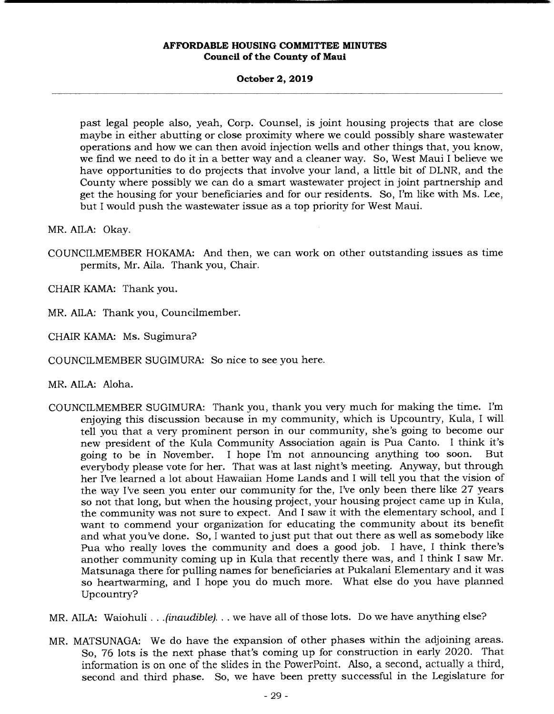### **October 2, 2019**

past legal people also, yeah, Corp. Counsel, is joint housing projects that are close maybe in either abutting or close proximity where we could possibly share wastewater operations and how we can then avoid injection wells and other things that, you know, we find we need to do it in a better way and a cleaner way. So, West Maui I believe we have opportunities to do projects that involve your land, a little bit of DLNR, and the County where possibly we can do a smart wastewater project in joint partnership and get the housing for your beneficiaries and for our residents. So, I'm like with Ms. Lee, but I would push the wastewater issue as a top priority for West Maui.

MR. AILA: Okay.

COUNCILMEMBER HOKAMA: And then, we can work on other outstanding issues as time permits, Mr. Aila. Thank you, Chair.

CHAIR KAMA: Thank you.

MR. AILA: Thank you, Councilmember.

CHAIR KAMA: Ms. Sugimura?

COUNCILMEMBER SUGIMURA: So nice to see you here.

MR. AILA: Aloha.

COUNCILMEMBER SUGIMURA: Thank you, thank you very much for making the time. I'm enjoying this discussion because in my community, which is Upcountry, Kula, I will tell you that a very prominent person in our community, she's going to become our new president of the Kula Community Association again is Pua Canto. I think it's going to be in November. I hope I'm not announcing anything too soon. But everybody please vote for her. That was at last night's meeting. Anyway, but through her I've learned a lot about Hawaiian Home Lands and I will tell you that the vision of the way I've seen you enter our community for the, I've only been there like 27 years so not that long, but when the housing project, your housing project came up in Kula, the community was not sure to expect. And I saw it with the elementary school, and I want to commend your organization for educating the community about its benefit and what you've done. So, I wanted to just put that out there as well as somebody like Pua who really loves the community and does a good job. I have, I think there's another community coming up in Kula that recently there was, and I think I saw Mr. Matsunaga there for pulling names for beneficiaries at Pukalani Elementary and it was so heartwarming, and I hope you do much more. What else do you have planned Upcountry?

MR. AILA: Waiohuli ... *(inaudible), .* we have all of those lots. Do we have anything else?

MR. MATSUNAGA: We do have the expansion of other phases within the adjoining areas. So, 76 lots is the next phase that's coming up for construction in early 2020. That So, 76 lots is the next phase that's coming up for construction in early 2020. That<br>information is on one of the slides in the PowerPoint. Also, a second, actually a third, second and third phase. So, we have been pretty successful in the Legislature for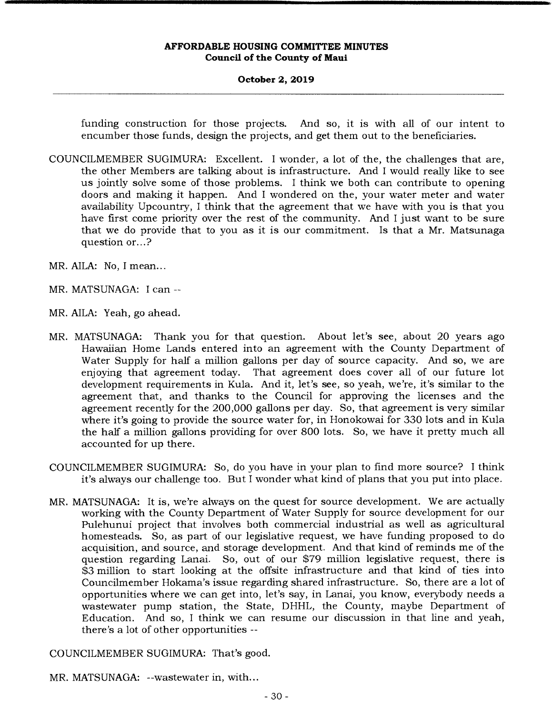# **October 2, 2019**

funding construction for those projects. And so, it is with all of our intent to encumber those funds, design the projects, and get them out to the beneficiaries.

- COUNCILMEMBER SUGIMURA: Excellent. I wonder, a lot of the, the challenges that are, the other Members are talking about is infrastructure. And I would really like to see us jointly solve some of those problems. I think we both can contribute to opening doors and making it happen. And I wondered on the, your water meter and water availability Upcountry, I think that the agreement that we have with you is that you have first come priority over the rest of the community. And I just want to be sure that we do provide that to you as it is our commitment. Is that a Mr. Matsunaga question or...?
- MR. AILA: No, I mean...
- MR. MATSUNAGA: I can --
- MR. AILA: Yeah, go ahead.
- MR. MATSUNAGA: Thank you for that question. About let's see, about 20 years ago Hawaiian Home Lands entered into an agreement with the County Department of Water Supply for half a million gallons per day of source capacity. And so, we are enjoying that agreement today. That agreement does cover all of our future lot development requirements in Kula. And it, let's see, so yeah, we're, it's similar to the agreement that, and thanks to the Council for approving the licenses and the agreement recently for the 200,000 gallons per day. So, that agreement is very similar where it's going to provide the source water for, in Honokowai for 330 lots and in Kula the half a million gallons providing for over 800 lots. So, we have it pretty much all accounted for up there.
- COUNCILMEMBER SUGIMURA: So, do you have in your plan to find more source? I think it's always our challenge too. But I wonder what kind of plans that you put into place.
- MR. MATSUNAGA: it is, we're always on the quest for source development. We are actually working with the County Department of Water Supply for source development for our Pulehunui project that involves both commercial industrial as well as agricultural homesteads. So, as part of our legislative request, we have funding proposed to do acquisition, and source, and storage development. And that kind of reminds me of the question regarding Lanai. So, out of our \$79 million legislative request, there is \$3 million to start looking at the offsite infrastructure and that kind of ties into Councilmember Hokama's issue regarding shared infrastructure. So, there are a lot of opportunities where we can get into, let's say, in Lanai, you know, everybody needs a wastewater pump station, the State, DHHL, the County, maybe Department of Education. And so, I think we can resume our discussion in that line and yeah, there's a lot of other opportunities --

COUNCILMEMBER SUGIMURA: That's good.

MR. MATSUNAGA: --wastewater in, with...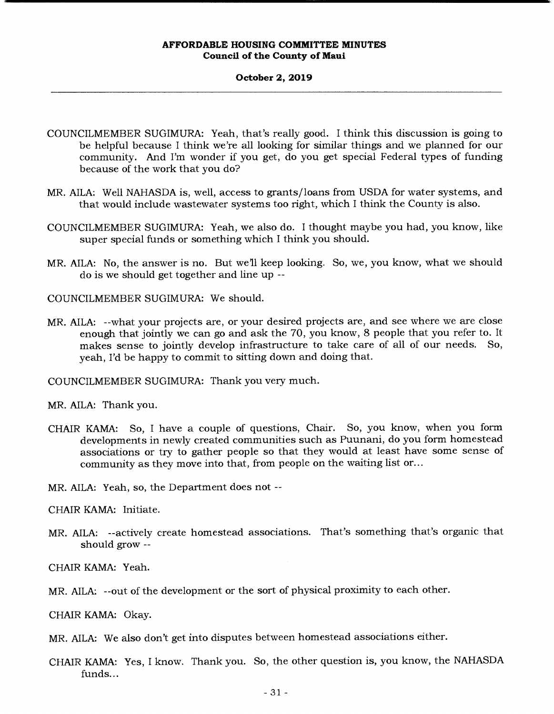#### **October 2, 2019**

COUNCILMEMBER SUGIMURA: Yeah, *that's* really good. I think this discussion is going to be helpful because I think we're all looking for similar things and we planned for our community. And I'm wonder if you get, do you get special Federal types of funding because of the work that you do?

- MR. AILA: Well NAHASDA is, well, access to grants/loans from USDA for water systems, and that would include wastewater systems too right, which I think the County is also.
- COUNCILMEMBER SUGIMURA: Yeah, we also do. I thought maybe you had, you know, like super special funds or something which I think you should.
- MR. AILA: No, the answer is no. But we'll keep looking. So, we, you know, what we should do is we should get together and line up --

COUNCILMEMBER SUGIMURA: We should.

MR. AILA: --what your projects are, or your desired projects are, and see where we are close enough that jointly we can go and ask the 70, you know, 8 people that you refer to. It makes sense to jointly develop infrastructure to take care of all of our needs. So, yeah, I'd be happy to commit to sitting down and doing that.

COUNCILMEMBER SUGIMURA: Thank you very much.

MR. AILA: Thank you.

CHAIR KAMA: So, I have a couple of questions, Chair. So, you know, when you form developments in newly created communities such as Puunani, do you form homestead associations or try to gather people so that they would at least have some sense of community as they move into that, from people on the waiting list or...

MR. AILA: Yeah, so, the Department does not --

CHAIR KAMA: Initiate.

MR. AILA: --actively create homestead associations. That's something that's organic that should grow --

CHAIR KAMA: Yeah.

MR. AILA: --out of the development or the sort of physical proximity to each other.

CHAIR KAMA: Okay.

MR. AILA: We also don't get into disputes between homestead associations either.

CHAIR KAMA: Yes, I know. Thank you. So, the other question is, you know, the NAHASDA funds...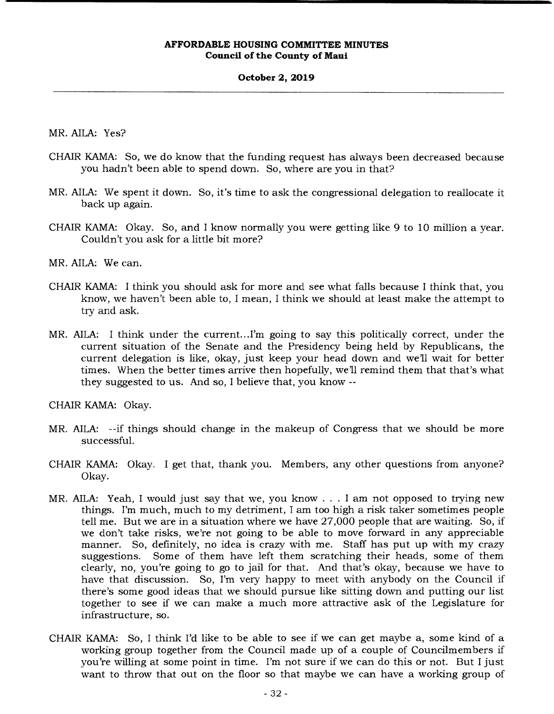### **October 2, 2019**

MR. AILA: Yes?

- CHAIR KAMA: So, we do know that the funding request has always been decreased because you hadn't been able to spend down. So, where are you in that?
- MR. AILA: We spent it down. So, it's time to ask the congressional delegation to reallocate it back up again.
- CHAIR KAMA: Okay. So, and I know normally you were getting like 9 to 10 million a year. Couldn't you ask for a little bit more?

MR. AILA: We can.

- CHAIR KAMA: I think you should ask for more and see what falls because I think that, you know, we haven't been able to, I mean, I think we should at least make the attempt to try and ask.
- MR. AILA: I think under the current...I'm going to say this politically correct, under the current situation of the Senate and the Presidency being held by Republicans, the current delegation is like, okay, just keep your head down and well wait for better times. When the better times arrive then hopefully, we'll remind them that that's what they suggested to us. And so, I believe that, you know --

CHAIR KAMA: Okay.

- MR. AILA: --if things should change in the makeup of Congress that we should be more successful.
- CHAIR KAMA: Okay. I get that, thank you. Members, any other questions from anyone? Okay.
- MR. AILA: Yeah, I would just say that we, you know. . . I am not opposed to trying new things. I'm much, much to my detriment, I am too high a risk taker sometimes people tell me. But we are in a situation where we have 27,000 people that are waiting. So, if we don't take risks, we're not going to be able to move forward in any appreciable manner. So, definitely, no idea is crazy with me. Staff has put up with my crazy suggestions. Some of them have left them scratching their heads, some of them clearly, no, you're going to go to jail for that. And that's okay, because we have to have that discussion. So, I'm very happy to meet with anybody on the Council if there's some good ideas that we should pursue like sitting down and putting our list together to see if we can make a much more attractive ask of the Legislature for infrastructure, so.
- CHAIR KAMA: So, I think I'd like to be able to see if we can get maybe a, some kind of a working group together from the Council made up of a couple of Councilmembers if you're willing at some point in time. I'm not sure if we can do this or not. But I just want to throw that out on the floor so that maybe we can have a working group of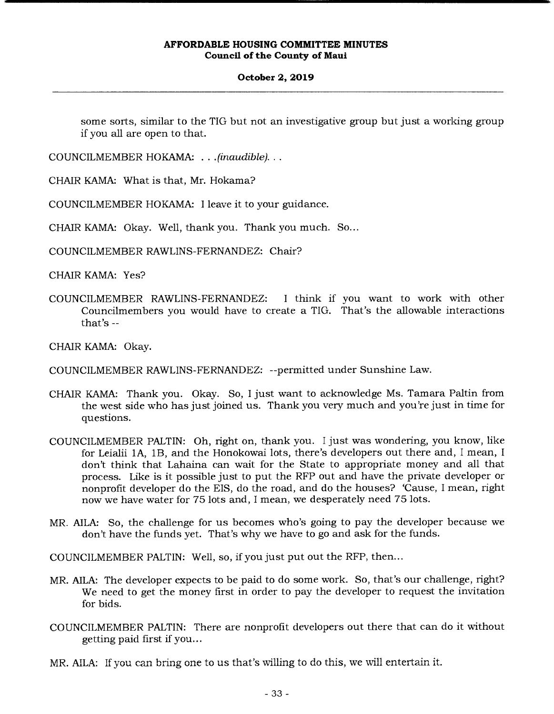# **October 2, 2019**

some sorts, similar to the TIG but not an investigative group but just a working group if you all are open to that.

COUNCILMEMBER HOKAMA: . . . *(inaudible)...* 

CHAIR KAMA: What is that, Mr. Hokama?

COUNCILMEMBER HOKAMA: I leave it to your guidance.

CHAIR KAMA: Okay. Well, thank you. Thank you much. So...

COUNCILMEMBER RAWLINS-FERNANDEZ: Chair?

CHAIR KAMA: Yes?

COUNCILMEMBER RAWLINS-FERNANDEZ: I think if you want to work with other Councilmembers you would have to create a 11G. That's the allowable interactions that's --

CHAIR KAMA: Okay.

COUNCILMEMBER RAWLINS-FERNANDEZ: --permitted under Sunshine Law.

- CHAIR KAMA: Thank you. Okay. So, I just want to acknowledge Ms. Tamara Paltin from the west side who has just joined us. Thank you very much and you're just in time for questions.
- COUNCILMEMBER PALTIN: Oh, right on, thank you. I just was wondering, you know, like for Leialii 1A, 1B, and the Honokowai lots, there's developers out there and, I mean, I don't think that Lahaina can wait for the State to appropriate money and all that process. Like is it possible just to put the RFP out and have the private developer or nonprofit developer do the EIS, do the road, and do the houses? 'Cause, I mean, right now we have water for 75 lots and, I mean, we desperately need 75 lots.
- MR. AILA: So, the challenge for us becomes who's going to pay the developer because we don't have the funds yet. That's why we have to go and ask for the funds.

COUNCILMEMBER PALTIN: Well, so, if you just put out the RFP, then...

- MR. AILA: The developer expects to be paid to do some work. So, that's our challenge, right? We need to get the money first in order to pay the developer to request the invitation for bids.
- COUNCILMEMBER PALTIN: There are nonprofit developers out there that can do it without getting paid first if you...
- MR. AILA: If you can bring one to us that's willing to do this, we will entertain it.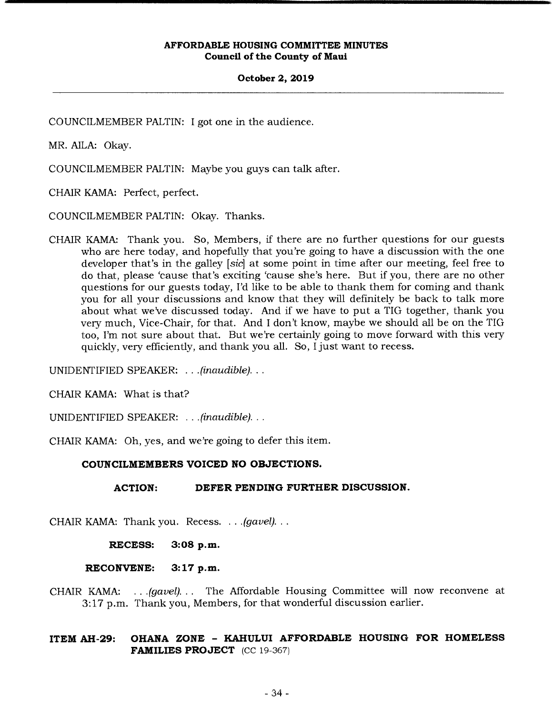### **October 2, 2019**

COUNCILMEMBER PALTIN: I got one in the audience.

MR. AILA: Okay.

COUNCILMEMBER PALTIN: Maybe you guys can talk after.

CHAIR KAMA: Perfect, perfect.

COUNCILMEMBER PALTIN: Okay. Thanks.

CHAIR KAMA: Thank you. So, Members, if there are no further questions for our guests who are here today, and hopefully that you're going to have a discussion with the one developer that's in the galley *[sic]* at some point in time after our meeting, feel free to do that, please 'cause that's exciting 'cause she's here. But if you, there are no other questions for our guests today, I'd like to be able to thank them for coming and thank you for all your discussions and know that they will definitely be back to talk more about what we've discussed today. And if we have to put a TIG together, thank you very much, Vice-Chair, for that. And I don't know, maybe we should all be on the TIG too, I'm not sure about that. But we're certainly going to move forward with this very quickly, very efficiently, and thank you all. So, I just want to recess.

UNIDENTIFIED SPEAKER: . . . *(inaudible)...* 

CHAIR KAMA: What is that?

UNIDENTIFIED SPEAKER: . . . *(inaudible)...* 

CHAIR KAMA: Oh, yes, and we're going to defer this item.

# **COUNCILMEMBERS VOICED NO OBJECTIONS,**

# **ACTION: DEFER PENDING FURTHER DISCUSSION.**

CHAIR KAMA: Thank you. Recess. . . . *(gavel)...* 

**RECESS: 3:08 p.m.** 

**RECONVENE: 3:17 p.m.** 

CHAIR KAMA: ... *(gavel)...* The Affordable Housing Committee will now reconvene at 3:17 p.m. Thank you, Members, for that wonderful discussion earlier.

# **ITEM AH-29: OHANA ZONE - KAHULUI AFFORDABLE HOUSING FOR HOMELESS FAMILIES PROJECT** (CC 19-367)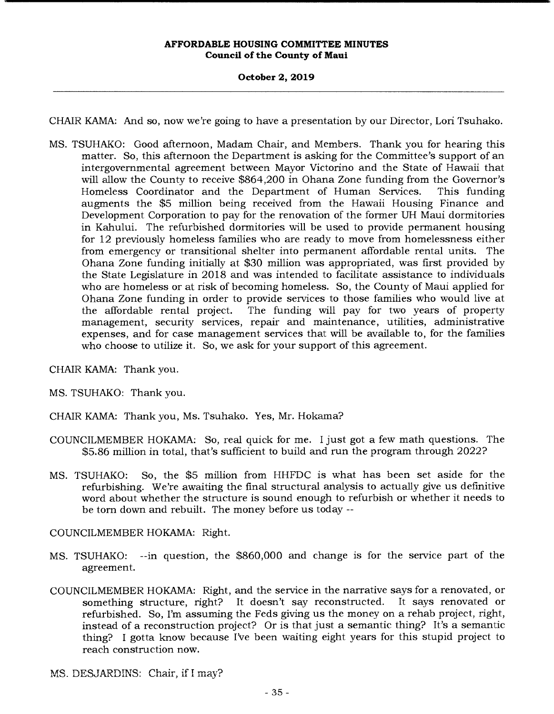# **October 2, 2019**

CHAIR KAMA: And so, now we're going to have a presentation by our Director, Lori Tsuhako.

MS. TSUHAKO: Good afternoon, Madam Chair, and Members. Thank you for hearing this matter. So, this afternoon the Department is asking for the Committee's support of an intergovernmental agreement between Mayor Victorino and the State of Hawaii that will allow the County to receive \$864,200 in Ohana Zone funding from the Governor's Homeless Coordinator and the Department of Human Services. This funding augments the \$5 million being received from the Hawaii Housing Finance and Development Corporation to pay for the renovation of the former UH Maui dormitories in Kahului. The refurbished dormitories will be used to provide permanent housing for 12 previously homeless families who are ready to move from homelessness either from emergency or transitional shelter into permanent affordable rental units. The Ohana Zone funding initially at \$30 million was appropriated, was first provided by the State Legislature in 2018 and was intended to facilitate assistance to individuals who are homeless or at risk of becoming homeless. So, the County of Maui applied for Ohana Zone funding in order to provide services to those families who would live at the affordable rental project. The funding will pay for two years of property management, security services, repair and maintenance, utilities, administrative expenses, and for case management services that will be available to, for the families who choose to utilize it. So, we ask for your support of this agreement.

CHAIR KAMA: Thank you.

MS. TSUHAKO: Thank you.

- CHAIR KAMA: Thank you, Ms. Tsuhako. Yes, Mr. Hokama?
- COUNCILMEMBER HOKAMA: So, real quick for me. I just got a few math questions. The \$5.86 million in total, that's sufficient to build and run the program through 2022?
- MS. TSUHAKO: So, the \$5 million from HHFDC is what has been set aside for the refurbishing. We're awaiting the final structural analysis to actually give us definitive word about whether the structure is sound enough to refurbish or whether it needs to be torn down and rebuilt. The money before us today --

COUNCILMEMBER HOKAMA: Right.

- MS. TSUHAKO: --in question, the \$860,000 and change is for the service part of the agreement.
- COUNCILMEMBER HOKAMA: Right, and the service in the narrative says for a renovated, or something structure, right? It doesn't say reconstructed. It says renovated or refurbished. So, I'm assuming the Feds giving us the money on a rehab project, right, instead of a reconstruction project? Or is that just a semantic thing? It's a semantic thing? I gotta know because I've been waiting eight years for this stupid project to reach construction now.

 $MS.$  DESJARDINS: Chair, if I may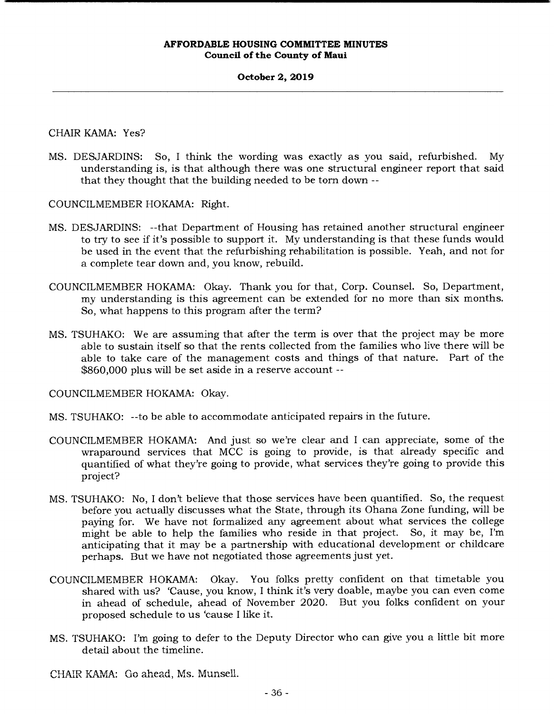# **October 2, 2019**

CHAIR KAMA: Yes?

MS. DESJARDINS: So, I think the wording was exactly as you said, refurbished. My understanding is, is that although there was one structural engineer report that said that they thought that the building needed to be torn down --

COUNCILMEMBER HOKAMA: Right.

- MS. DESJARDINS: --that Department of Housing has retained another structural engineer to try to see if it's possible to support it. My understanding is that these funds would be used in the event that the refurbishing rehabilitation is possible. Yeah, and not for a complete tear down and, you know, rebuild.
- COUNCILMEMBER HOKAMA: Okay. Thank you for that, Corp. Counsel. So, Department, my understanding is this agreement can be extended for no more than six months. So, what happens to this program after the term?
- MS. TSUHAKO: We are assuming that after the term is over that the project may be more able to sustain itself so that the rents collected from the families who live there will be able to take care of the management costs and things of that nature. Part of the \$860,000 plus will be set aside in a reserve account --

COUNCILMEMBER HOKAMA: Okay.

- MS. TSUHAKO: --to be able to accommodate anticipated repairs in the future.
- COUNCILMEMBER HOKAMA: And just so we're clear and I can appreciate, some of the wraparound services that MCC is going to provide, is that already specific and quantified of what they're going to provide, what services they're going to provide this project?
- MS. TSUHAKO: No, I don't believe that those services have been quantified. So, the request before you actually discusses what the State, through its Ohana Zone funding, will be paying for. We have not formalized any agreement about what services the college might be able to help the families who reside in that project. So, it may be, I'm anticipating that it may be a partnership with educational development or childcare perhaps. But we have not negotiated those agreements just yet.
- COUNCILMEMBER HOKAMA: Okay. You folks pretty confident on that timetable you shared with us? 'Cause, you know, I think it's very doable, maybe you can even come in ahead of schedule, ahead of November 2020. But you folks confident on your proposed schedule to us 'cause I like it.
- MS. TSUHAKO: I'm going to defer to the Deputy Director who can give you a little bit more detail about the timeline.
- CHAIR KAMA: Go ahead, Ms. Munsell.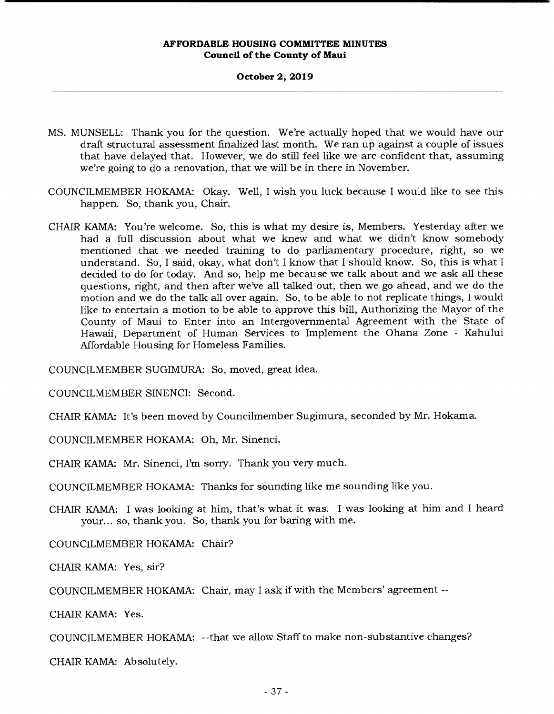### **October 2, 2019**

- MS. MUNSELL: Thank you for the question. We're actually hoped that we would have our draft structural assessment finalized last month. We ran up against a couple of issues that have delayed that. However, we do still feel like we are confident that, assuming we're going to do a renovation, that we will be in there in November.
- COUNCILMEMBER HOKAMA: Okay. Well, I wish you luck because I would like to see this happen. So, thank you, Chair.
- CHAIR KAMA: You're welcome. So, this is what my desire is, Members. Yesterday after we had a full discussion about what we knew and what we didn't know somebody mentioned that we needed training to do parliamentary procedure, right, so we understand. So, I said, okay, what don't I know that I should know. So, this is what I decided to do for today. And so, help me because we talk about and we ask all these questions, right, and then after we've all talked out, then we go ahead, and we do the motion and we do the talk all over again. So, to be able to not replicate things, I would like to entertain a motion to be able to approve this bill, Authorizing the Mayor of the County of Maui to Enter into an Intergovernmental Agreement with the State of Hawaii, Department of Human Services to Implement the Ohana Zone - Kahului Affordable Housing for Homeless Families.

COUNCILMEMBER SUGIMURA: So, moved, great idea.

COUNCILMEMBER SINENCI: Second.

CHAIR KAMA: It's been moved by Councilmember Sugimura, seconded by Mr. Hokama.

COUNCILMEMBER HOKAMA: Oh, Mr. Sinenci.

CHAIR KAMA: Mr. Sinenci, I'm sorry. Thank you very much.

COUNCILMEMBER HOKAMA: Thanks for sounding like me sounding like you.

CHAIR KAMA: I was looking at him, that's what it was. I was looking at him and I heard your... so, thank you. So, thank you for baring with me.

COUNCILMEMBER HOKAMA: Chair?

CHAIR KAMA: Yes, sir?

COUNCILMEMBER HOKAMA: Chair, may I ask if with the Members' agreement --

CHAIR KAMA: Yes.

COUNCILMEMBER HOKAMA: --that we allow Staff to make non-substantive changes?

CHAIR KAMA: Absolutely.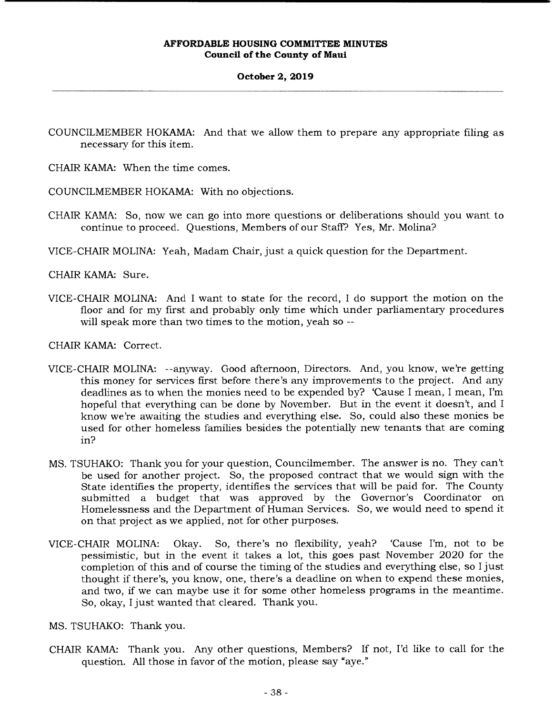# **October 2, 2019**

- COUNCILMEMBER HOKAMA: And that we allow them to prepare any appropriate filing as necessary for this item.
- CHAIR KAMA: When the time comes.

COUNCILMEMBER HOKAMA: With no objections.

- CHAIR KAMA: So, now we can go into more questions or deliberations should you want to continue to proceed. Questions, Members of our Staff? Yes, Mr. Molina?
- VICE-CHAIR MOLINA: Yeah, Madam Chair, just a quick question for the Department.

CHAIR KAMA: Sure.

VICE-CHAIR MOLINA: And I want to state for the record, I do support the motion on the floor and for my first and probably only time which under parliamentary procedures will speak more than two times to the motion, yeah so --

CHAIR KAMA: Correct.

- VICE-CHAIR MOLINA: --anyway. Good afternoon, Directors. And, you know, we're getting this money for services first before there's any improvements to the project. And any deadlines as to when the monies need to be expended by? 'Cause I mean, I mean, I'm hopeful that everything can be done by November. But in the event it doesn't, and I know we're awaiting the studies and everything else. So, could also these monies be used for other homeless families besides the potentially new tenants that are coming in?
- MS. TSUHAKO: Thank you for your question, Councilmember. The answer is no. They can't be used for another project. So, the proposed contract that we would sign with the State identifies the property, identifies the services that will be paid for. The County submitted a budget that was approved by the Governor's Coordinator on Homelessness and the Department of Human Services. So, we would need to spend it on that project as we applied, not for other purposes.
- VICE-CHAIR MOLINA: Okay. So, there's no flexibility, yeah? 'Cause I'm, not to be pessimistic, but in the event it takes a lot, this goes past November 2020 for the completion of this and of course the timing of the studies and everything else, so I just thought if there's, you know, one, there's a deadline on when to expend these monies, and two, if we can maybe use it for some other homeless programs in the meantime. So, okay, I just wanted that cleared. Thank you.

MS. TSUHAKO: Thank you.

CHAIR KAMA: Thank you. Any other questions, Members? If not, I'd like to call for the question. All those in favor of the motion, please say "aye."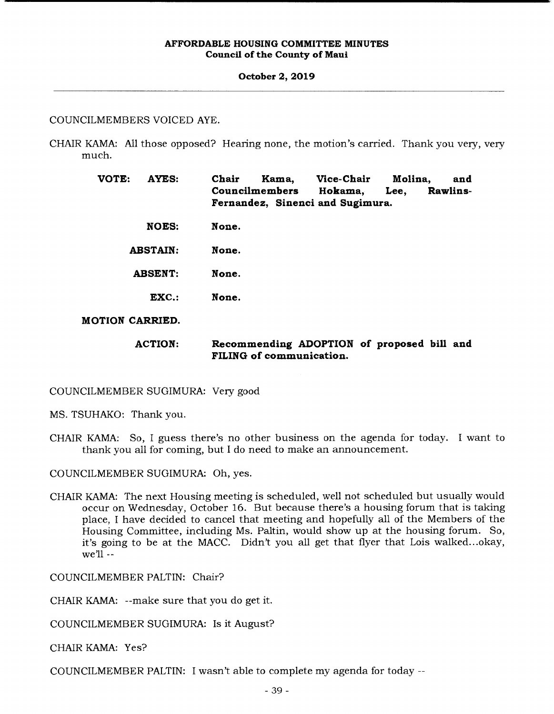#### **October 2, 2019**

# COUNCILMEMBERS VOICED AYE.

CHAIR KAMA: All those opposed? Hearing none, the motion's carried. Thank you very, very much.

> **VOTE: AYES: Chair Kama, Vice-Chair Molina, and Councilmembers Hokama, Lee, Rawlins**-**Fernandez, Sinenci and Sugimura.**

- **NOES: None.**
- **ABSTAIN: None.**
- **ABSENT: None.** 
	- **EXC.: None.**
- **MOTION CARRIED.**

# **ACTION: Recommending ADOPTION of proposed bill and FILING of communication.**

COUNCILMEMBER SUGIMURA: Very good

MS. TSUHAKO: Thank you.

CHAIR KAMA: So, I guess there's no other business on the agenda for today. I want to thank you all for coming, but I do need to make an announcement.

COUNCILMEMBER SUGIMURA: Oh, yes.

CHAIR KAMA: The next Housing meeting is scheduled, well not scheduled but usually would occur on Wednesday, October 16. But because there's a housing forum that is taking place, I have decided to cancel that meeting and hopefully all of the Members of the Housing Committee, including Ms. Paltin, would show up at the housing forum. So, it's going to be at the MACC. Didn't you all get that flyer that Lois walked...okay, we'll --

COUNCILMEMBER PALTIN: Chair?

CHAIR KAMA: --make sure that you do get it.

COUNCILMEMBER SUGIMURA: Is it August?

CHAIR KAMA: Yes?

COUNCILMEMBER PALTIN: I wasn't able to complete my agenda for today --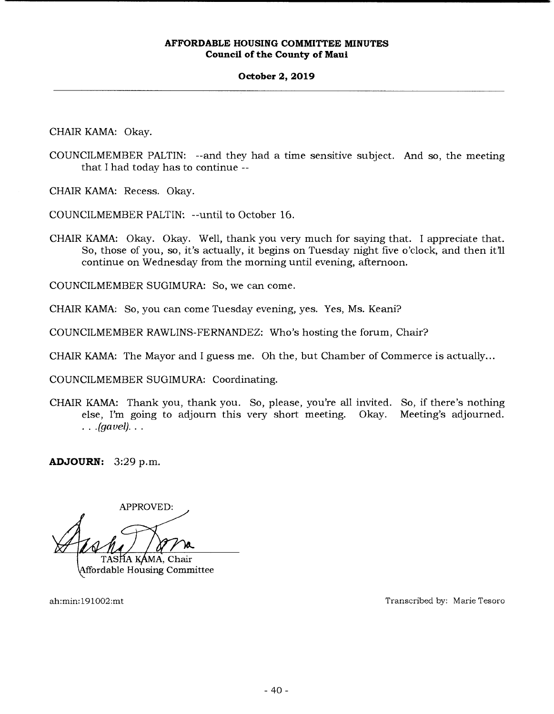### **October 2, 2019**

CHAIR KAMA: Okay.

COUNCILMEMBER PALTIN: --and they had a time sensitive subject. And so, the meeting that I had today has to continue --

CHAIR KAMA: Recess. Okay.

COUNCILMEMBER PALTIN: --until to October 16.

CHAIR KAMA: Okay. Okay. Well, thank you very much for saying that. I appreciate that. So, those of you, so, it's actually, it begins on Tuesday night five o'clock, and then it'll continue on Wednesday from the morning until evening, afternoon.

COUNCILMEMBER SUGIMURA: So, we can come.

CHAIR KAMA: So, you can come Tuesday evening, yes. Yes, Ms. Keani?

COUNCILMEMBER RAWLINS-FERNANDEZ: Who's hosting the forum, Chair?

CHAIR KAMA: The Mayor and I guess me. Oh the, but Chamber of Commerce is actually...

COUNCILMEMBER SUGIMURA: Coordinating.

CHAIR KAMA: Thank you, thank you. So, please, you're all invited. So, if there's nothing else, I'm going to adjourn this very short meeting. Okay. Meeting's adjourned. *(gavel)..* 

**ADJOURN:** 3:29 p.m.

APPROVED: TASHA KAMA, Chair

Affordable Housing Committee

ah:min:191002:mt Transcribed by: Marie Tesoro